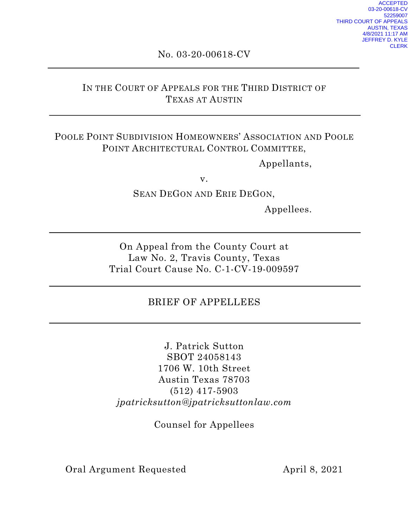# No. 03-20-00618-CV

# IN THE COURT OF APPEALS FOR THE THIRD DISTRICT OF TEXAS AT AUSTIN

# POOLE POINT SUBDIVISION HOMEOWNERS' ASSOCIATION AND POOLE POINT ARCHITECTURAL CONTROL COMMITTEE,

Appellants,

v.

SEAN DEGON AND ERIE DEGON,

Appellees.

On Appeal from the County Court at Law No. 2, Travis County, Texas Trial Court Cause No. C-1-CV-19-009597

# BRIEF OF APPELLEES

J. Patrick Sutton SBOT 24058143 1706 W. 10th Street Austin Texas 78703 (512) 417-5903 *jpatricksutton@jpatricksuttonlaw.com*

Counsel for Appellees

Oral Argument Requested April 8, 2021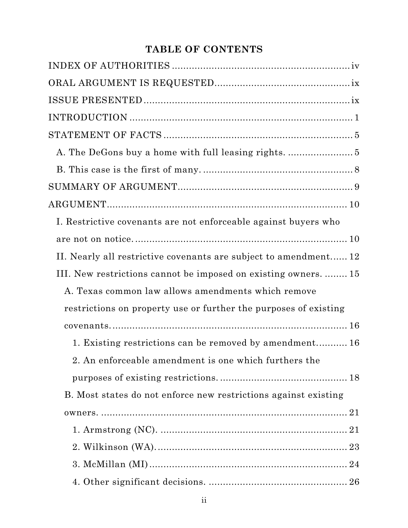# **TABLE OF CONTENTS**

| $\begin{minipage}{.4\linewidth} \textbf{STATEMENT OF FACTS} \end{minipage} \begin{minipage}{.4\linewidth} \textbf{0} \end{minipage} \begin{minipage}{.4\linewidth} \textbf{0} \end{minipage} \begin{minipage}{.4\linewidth} \textbf{0} \end{minipage} \begin{minipage}{.4\linewidth} \textbf{0} \end{minipage} \begin{minipage}{.4\linewidth} \textbf{0} \end{minipage} \begin{minipage}{.4\linewidth} \textbf{0} \end{minipage} \begin{minipage}{.4\linewidth} \textbf{0} \end{minipage} \begin{minipage}{.4\linewidth} \textbf{$ |
|------------------------------------------------------------------------------------------------------------------------------------------------------------------------------------------------------------------------------------------------------------------------------------------------------------------------------------------------------------------------------------------------------------------------------------------------------------------------------------------------------------------------------------|
|                                                                                                                                                                                                                                                                                                                                                                                                                                                                                                                                    |
|                                                                                                                                                                                                                                                                                                                                                                                                                                                                                                                                    |
|                                                                                                                                                                                                                                                                                                                                                                                                                                                                                                                                    |
|                                                                                                                                                                                                                                                                                                                                                                                                                                                                                                                                    |
| I. Restrictive covenants are not enforceable against buyers who                                                                                                                                                                                                                                                                                                                                                                                                                                                                    |
|                                                                                                                                                                                                                                                                                                                                                                                                                                                                                                                                    |
| II. Nearly all restrictive covenants are subject to amendment 12                                                                                                                                                                                                                                                                                                                                                                                                                                                                   |
| III. New restrictions cannot be imposed on existing owners.  15                                                                                                                                                                                                                                                                                                                                                                                                                                                                    |
| A. Texas common law allows amendments which remove                                                                                                                                                                                                                                                                                                                                                                                                                                                                                 |
| restrictions on property use or further the purposes of existing                                                                                                                                                                                                                                                                                                                                                                                                                                                                   |
|                                                                                                                                                                                                                                                                                                                                                                                                                                                                                                                                    |
| 1. Existing restrictions can be removed by amendment 16                                                                                                                                                                                                                                                                                                                                                                                                                                                                            |
| 2. An enforceable amendment is one which furthers the                                                                                                                                                                                                                                                                                                                                                                                                                                                                              |
|                                                                                                                                                                                                                                                                                                                                                                                                                                                                                                                                    |
| B. Most states do not enforce new restrictions against existing                                                                                                                                                                                                                                                                                                                                                                                                                                                                    |
|                                                                                                                                                                                                                                                                                                                                                                                                                                                                                                                                    |
|                                                                                                                                                                                                                                                                                                                                                                                                                                                                                                                                    |
|                                                                                                                                                                                                                                                                                                                                                                                                                                                                                                                                    |
|                                                                                                                                                                                                                                                                                                                                                                                                                                                                                                                                    |
|                                                                                                                                                                                                                                                                                                                                                                                                                                                                                                                                    |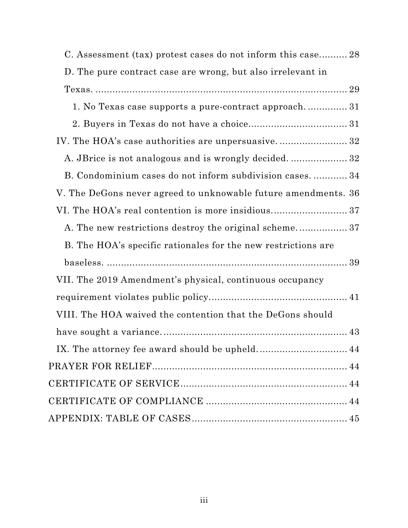| C. Assessment (tax) protest cases do not inform this case 28   |
|----------------------------------------------------------------|
| D. The pure contract case are wrong, but also irrelevant in    |
|                                                                |
| 1. No Texas case supports a pure-contract approach 31          |
|                                                                |
| IV. The HOA's case authorities are unpersuasive 32             |
|                                                                |
| B. Condominium cases do not inform subdivision cases 34        |
| V. The DeGons never agreed to unknowable future amendments. 36 |
| VI. The HOA's real contention is more insidious37              |
| A. The new restrictions destroy the original scheme 37         |
| B. The HOA's specific rationales for the new restrictions are  |
|                                                                |
| VII. The 2019 Amendment's physical, continuous occupancy       |
|                                                                |
| VIII. The HOA waived the contention that the DeGons should     |
|                                                                |
|                                                                |
|                                                                |
|                                                                |
|                                                                |
|                                                                |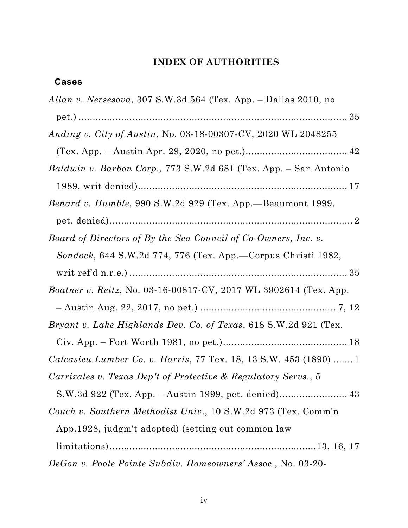# **INDEX OF AUTHORITIES**

# <span id="page-3-0"></span>**Cases**

| Allan v. Nersesova, 307 S.W.3d 564 (Tex. App. – Dallas 2010, no          |
|--------------------------------------------------------------------------|
|                                                                          |
| <i>Anding v. City of Austin, No.</i> 03-18-00307-CV, 2020 WL 2048255     |
|                                                                          |
| Baldwin v. Barbon Corp., 773 S.W.2d 681 (Tex. App. – San Antonio         |
|                                                                          |
| Benard v. Humble, 990 S.W.2d 929 (Tex. App.—Beaumont 1999,               |
|                                                                          |
| Board of Directors of By the Sea Council of Co-Owners, Inc. v.           |
| Sondock, 644 S.W.2d 774, 776 (Tex. App.—Corpus Christi 1982,             |
|                                                                          |
| Boatner v. Reitz, No. 03-16-00817-CV, 2017 WL 3902614 (Tex. App.         |
|                                                                          |
| <i>Bryant v. Lake Highlands Dev. Co. of Texas, 618 S.W.2d 921 (Tex.</i>  |
|                                                                          |
| <i>Calcasieu Lumber Co. v. Harris, 77 Tex. 18, 13 S.W. 453 (1890) </i> 1 |
| Carrizales v. Texas Dep't of Protective & Regulatory Servs., 5           |
|                                                                          |
| Couch v. Southern Methodist Univ., 10 S.W.2d 973 (Tex. Comm'n            |
| App. 1928, judgm't adopted) (setting out common law                      |
|                                                                          |
| DeGon v. Poole Pointe Subdiv. Homeowners' Assoc., No. 03-20-             |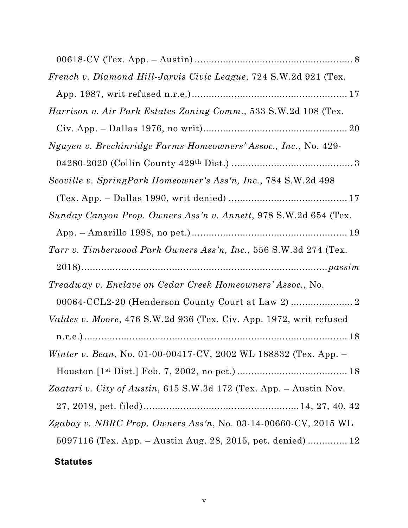| French v. Diamond Hill-Jarvis Civic League, 724 S.W.2d 921 (Tex.   |
|--------------------------------------------------------------------|
|                                                                    |
| Harrison v. Air Park Estates Zoning Comm., 533 S.W.2d 108 (Tex.    |
|                                                                    |
| Nguyen v. Breckinridge Farms Homeowners' Assoc., Inc., No. 429-    |
|                                                                    |
| Scoville v. SpringPark Homeowner's Ass'n, Inc., 784 S.W.2d 498     |
|                                                                    |
| Sunday Canyon Prop. Owners Ass'n v. Annett, 978 S.W.2d 654 (Tex.   |
|                                                                    |
| Tarr v. Timberwood Park Owners Ass'n, Inc., 556 S.W.3d 274 (Tex.   |
|                                                                    |
| Treadway v. Enclave on Cedar Creek Homeowners' Assoc., No.         |
| 00064-CCL2-20 (Henderson County Court at Law 2)                    |
| Valdes v. Moore, 476 S.W.2d 936 (Tex. Civ. App. 1972, writ refused |
|                                                                    |
| Winter v. Bean, No. 01-00-00417-CV, 2002 WL 188832 (Tex. App. -    |
|                                                                    |
| Zaatari v. City of Austin, 615 S.W.3d 172 (Tex. App. - Austin Nov. |
|                                                                    |
| Zgabay v. NBRC Prop. Owners Ass'n, No. 03-14-00660-CV, 2015 WL     |
|                                                                    |
| $5097116$ (Tex. App. – Austin Aug. 28, 2015, pet. denied)  12      |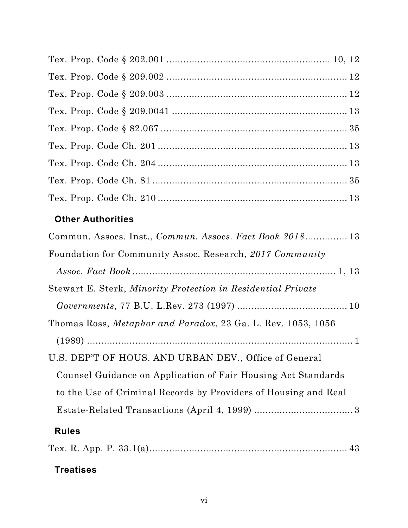# **Other Authorities**

| Commun. Assocs. Inst., Commun. Assocs. Fact Book 2018 13        |
|-----------------------------------------------------------------|
| Foundation for Community Assoc. Research, 2017 Community        |
|                                                                 |
| Stewart E. Sterk, Minority Protection in Residential Private    |
|                                                                 |
| Thomas Ross, Metaphor and Paradox, 23 Ga. L. Rev. 1053, 1056    |
|                                                                 |
| U.S. DEP'T OF HOUS. AND URBAN DEV., Office of General           |
| Counsel Guidance on Application of Fair Housing Act Standards   |
| to the Use of Criminal Records by Providers of Housing and Real |
|                                                                 |
| <b>Rules</b>                                                    |
|                                                                 |

# **Treatises**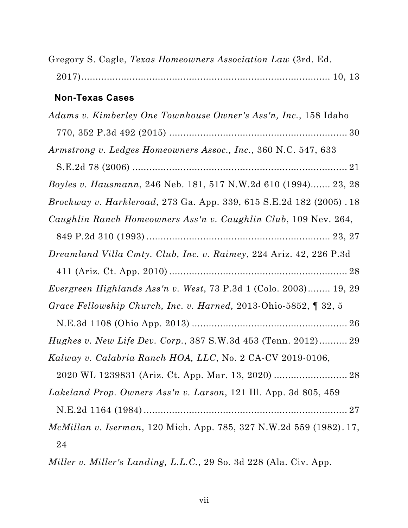| Gregory S. Cagle, Texas Homeowners Association Law (3rd. Ed.                |
|-----------------------------------------------------------------------------|
|                                                                             |
| <b>Non-Texas Cases</b>                                                      |
| Adams v. Kimberley One Townhouse Owner's Ass'n, Inc., 158 Idaho             |
|                                                                             |
| Armstrong v. Ledges Homeowners Assoc., Inc., 360 N.C. 547, 633              |
|                                                                             |
| Boyles v. Hausmann, 246 Neb. 181, 517 N.W.2d 610 (1994) 23, 28              |
| <i>Brockway v. Harkleroad, 273 Ga. App. 339, 615 S.E.2d 182 (2005) . 18</i> |
| Caughlin Ranch Homeowners Ass'n v. Caughlin Club, 109 Nev. 264,             |
|                                                                             |
| <i>Dreamland Villa Cmty. Club, Inc. v. Raimey, 224 Ariz. 42, 226 P.3d</i>   |
|                                                                             |
| Evergreen Highlands Ass'n v. West, 73 P.3d 1 (Colo. 2003) 19, 29            |
| Grace Fellowship Church, Inc. v. Harned, 2013-Ohio-5852, ¶ 32, 5            |
|                                                                             |
| <i>Hughes v. New Life Dev. Corp.</i> , 387 S.W.3d 453 (Tenn. 2012) 29       |
| Kalway v. Calabria Ranch HOA, LLC, No. 2 CA-CV 2019-0106,                   |
|                                                                             |
| Lakeland Prop. Owners Ass'n v. Larson, 121 Ill. App. 3d 805, 459            |
|                                                                             |
| <i>McMillan v. Iserman</i> , 120 Mich. App. 785, 327 N.W.2d 559 (1982). 17, |
| 24                                                                          |

*Miller v. Miller's Landing, L.L.C.*, 29 So. 3d 228 (Ala. Civ. App.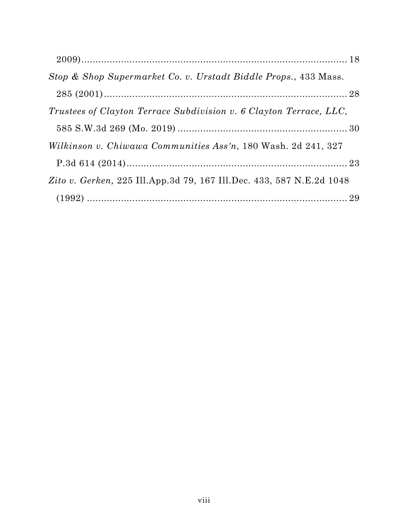| Stop & Shop Supermarket Co. v. Urstadt Biddle Props., 433 Mass.      |  |
|----------------------------------------------------------------------|--|
|                                                                      |  |
| Trustees of Clayton Terrace Subdivision v. 6 Clayton Terrace, LLC,   |  |
|                                                                      |  |
| Wilkinson v. Chiwawa Communities Ass'n, 180 Wash. 2d 241, 327        |  |
|                                                                      |  |
| Zito v. Gerken, 225 Ill.App.3d 79, 167 Ill.Dec. 433, 587 N.E.2d 1048 |  |
|                                                                      |  |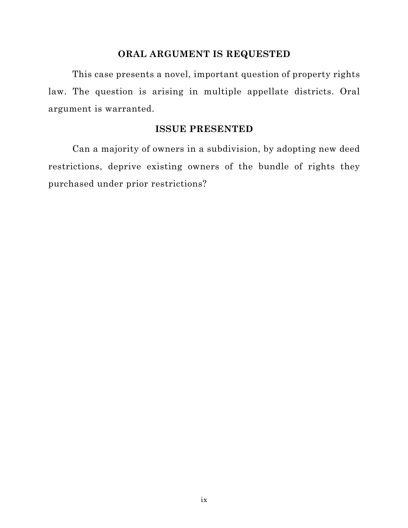#### **ORAL ARGUMENT IS REQUESTED**

<span id="page-8-0"></span>This case presents a novel, important question of property rights law. The question is arising in multiple appellate districts. Oral argument is warranted.

#### **ISSUE PRESENTED**

Can a majority of owners in a subdivision, by adopting new deed restrictions, deprive existing owners of the bundle of rights they purchased under prior restrictions?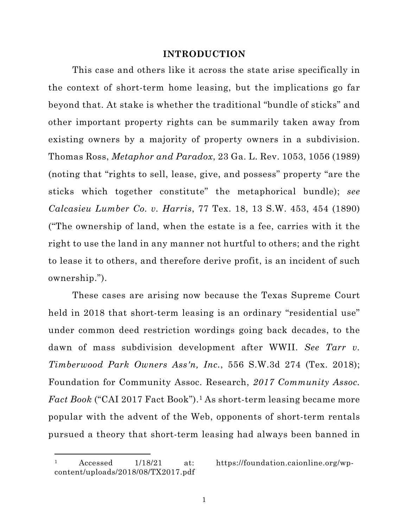#### **INTRODUCTION**

<span id="page-9-0"></span>This case and others like it across the state arise specifically in the context of short-term home leasing, but the implications go far beyond that. At stake is whether the traditional "bundle of sticks" and other important property rights can be summarily taken away from existing owners by a majority of property owners in a subdivision. Thomas Ross, *Metaphor and Paradox*, 23 Ga. L. Rev. 1053, 1056 (1989) (noting that "rights to sell, lease, give, and possess" property "are the sticks which together constitute" the metaphorical bundle); *see Calcasieu Lumber Co. v. Harris*, 77 Tex. 18, 13 S.W. 453, 454 (1890) ("The ownership of land, when the estate is a fee, carries with it the right to use the land in any manner not hurtful to others; and the right to lease it to others, and therefore derive profit, is an incident of such ownership.").

These cases are arising now because the Texas Supreme Court held in 2018 that short-term leasing is an ordinary "residential use" under common deed restriction wordings going back decades, to the dawn of mass subdivision development after WWII. *See Tarr v. Timberwood Park Owners Ass'n, Inc.*, 556 S.W.3d 274 (Tex. 2018); Foundation for Community Assoc. Research, *2017 Community Assoc. Fact Book* ("CAI 2017 Fact Book").<sup>1</sup> As short-term leasing became more popular with the advent of the Web, opponents of short-term rentals pursued a theory that short-term leasing had always been banned in

<sup>1</sup> Accessed 1/18/21 at: https://foundation.caionline.org/wpcontent/uploads/2018/08/TX2017.pdf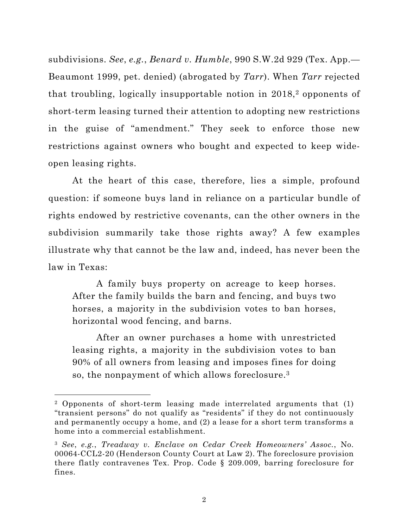<span id="page-10-0"></span>subdivisions. *See*, *e.g.*, *Benard v. Humble*, 990 S.W.2d 929 (Tex. App.— Beaumont 1999, pet. denied) (abrogated by *Tarr*). When *Tarr* rejected that troubling, logically insupportable notion in 2018,<sup>2</sup> opponents of short-term leasing turned their attention to adopting new restrictions in the guise of "amendment." They seek to enforce those new restrictions against owners who bought and expected to keep wideopen leasing rights.

At the heart of this case, therefore, lies a simple, profound question: if someone buys land in reliance on a particular bundle of rights endowed by restrictive covenants, can the other owners in the subdivision summarily take those rights away? A few examples illustrate why that cannot be the law and, indeed, has never been the law in Texas:

A family buys property on acreage to keep horses. After the family builds the barn and fencing, and buys two horses, a majority in the subdivision votes to ban horses, horizontal wood fencing, and barns.

After an owner purchases a home with unrestricted leasing rights, a majority in the subdivision votes to ban 90% of all owners from leasing and imposes fines for doing so, the nonpayment of which allows foreclosure.3

<sup>2</sup> Opponents of short-term leasing made interrelated arguments that (1) "transient persons" do not qualify as "residents" if they do not continuously and permanently occupy a home, and (2) a lease for a short term transforms a home into a commercial establishment.

<sup>3</sup> *See*, *e.g.*, *Treadway v. Enclave on Cedar Creek Homeowners' Assoc.*, No. 00064-CCL2-20 (Henderson County Court at Law 2). The foreclosure provision there flatly contravenes Tex. Prop. Code § 209.009, barring foreclosure for fines.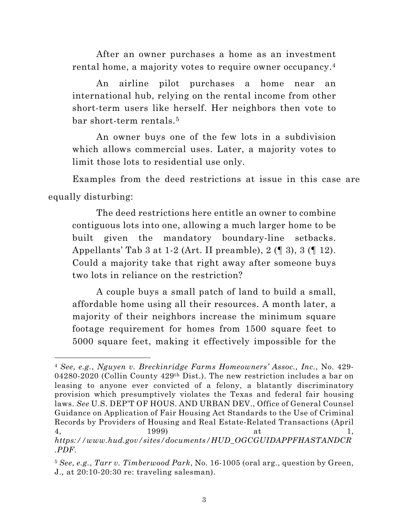<span id="page-11-0"></span>After an owner purchases a home as an investment rental home, a majority votes to require owner occupancy.4

An airline pilot purchases a home near an international hub, relying on the rental income from other short-term users like herself. Her neighbors then vote to bar short-term rentals.5

An owner buys one of the few lots in a subdivision which allows commercial uses. Later, a majority votes to limit those lots to residential use only.

Examples from the deed restrictions at issue in this case are equally disturbing:

The deed restrictions here entitle an owner to combine contiguous lots into one, allowing a much larger home to be built given the mandatory boundary-line setbacks. Appellants' Tab 3 at 1-2 (Art. II preamble),  $2 \times 3$ ,  $3 \times 12$ . Could a majority take that right away after someone buys two lots in reliance on the restriction?

A couple buys a small patch of land to build a small, affordable home using all their resources. A month later, a majority of their neighbors increase the minimum square footage requirement for homes from 1500 square feet to 5000 square feet, making it effectively impossible for the

<sup>4</sup> *See*, *e.g.*, *Nguyen v. Breckinridge Farms Homeowners' Assoc., Inc.*, No. 429- 04280-2020 (Collin County 429th Dist.). The new restriction includes a bar on leasing to anyone ever convicted of a felony, a blatantly discriminatory provision which presumptively violates the Texas and federal fair housing laws. *See* U.S. DEP'T OF HOUS. AND URBAN DEV., Office of General Counsel Guidance on Application of Fair Housing Act Standards to the Use of Criminal Records by Providers of Housing and Real Estate-Related Transactions (April 4, 1999) at 1, *https://www.hud.gov/sites/documents/HUD\_OGCGUIDAPPFHASTANDCR .PDF*.

<sup>5</sup> *See*, *e.g.*, *Tarr v. Timberwood Park*, No. 16-1005 (oral arg., question by Green, J., at 20:10-20:30 re: traveling salesman).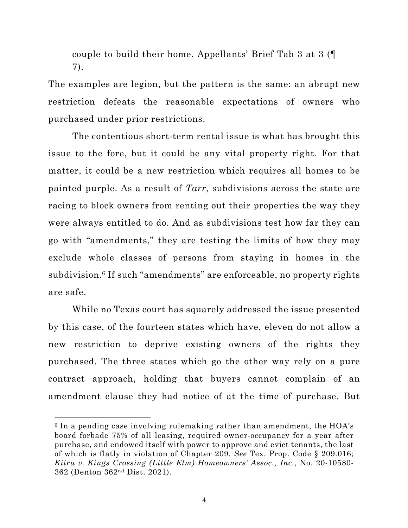couple to build their home. Appellants' Brief Tab 3 at 3 (¶ 7).

The examples are legion, but the pattern is the same: an abrupt new restriction defeats the reasonable expectations of owners who purchased under prior restrictions.

The contentious short-term rental issue is what has brought this issue to the fore, but it could be any vital property right. For that matter, it could be a new restriction which requires all homes to be painted purple. As a result of *Tarr*, subdivisions across the state are racing to block owners from renting out their properties the way they were always entitled to do. And as subdivisions test how far they can go with "amendments," they are testing the limits of how they may exclude whole classes of persons from staying in homes in the subdivision.<sup>6</sup> If such "amendments" are enforceable, no property rights are safe.

While no Texas court has squarely addressed the issue presented by this case, of the fourteen states which have, eleven do not allow a new restriction to deprive existing owners of the rights they purchased. The three states which go the other way rely on a pure contract approach, holding that buyers cannot complain of an amendment clause they had notice of at the time of purchase. But

 $6$  In a pending case involving rulemaking rather than amendment, the  $HOA's$ board forbade 75% of all leasing, required owner-occupancy for a year after purchase, and endowed itself with power to approve and evict tenants, the last of which is flatly in violation of Chapter 209. *See* Tex. Prop. Code § 209.016; *Kiiru v. Kings Crossing (Little Elm) Homeowners' Assoc., Inc.*, No. 20-10580- 362 (Denton 362nd Dist. 2021).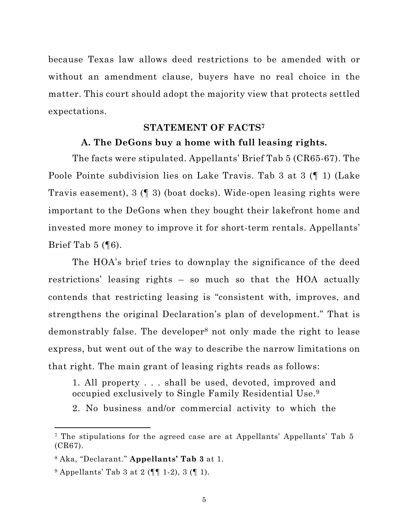<span id="page-13-0"></span>because Texas law allows deed restrictions to be amended with or without an amendment clause, buyers have no real choice in the matter. This court should adopt the majority view that protects settled expectations.

#### **STATEMENT OF FACTS7**

### **A. The DeGons buy a home with full leasing rights.**

The facts were stipulated. Appellants' Brief Tab 5 (CR65-67). The Poole Pointe subdivision lies on Lake Travis. Tab 3 at 3 (¶ 1) (Lake Travis easement), 3 (¶ 3) (boat docks). Wide-open leasing rights were important to the DeGons when they bought their lakefront home and invested more money to improve it for short-term rentals. Appellants' Brief Tab  $5$  ( $\sqrt{6}$ ).

The HOA's brief tries to downplay the significance of the deed restrictions' leasing rights – so much so that the HOA actually contends that restricting leasing is "consistent with, improves, and strengthens the original Declaration's plan of development." That is demonstrably false. The developer8 not only made the right to lease express, but went out of the way to describe the narrow limitations on that right. The main grant of leasing rights reads as follows:

1. All property . . . shall be used, devoted, improved and occupied exclusively to Single Family Residential Use.9

2. No business and/or commercial activity to which the

<sup>7</sup> The stipulations for the agreed case are at Appellants' Appellants' Tab 5 (CR67).

<sup>8</sup> Aka, "Declarant." **Appellants' Tab 3** at 1.

 $9$  Appellants' Tab 3 at 2 ( $\P$  $[$  1-2), 3 ( $[$  1).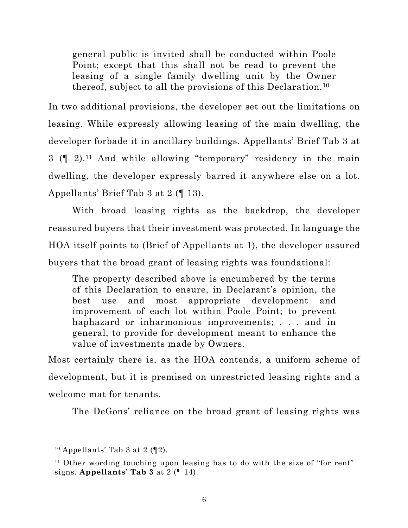general public is invited shall be conducted within Poole Point; except that this shall not be read to prevent the leasing of a single family dwelling unit by the Owner thereof, subject to all the provisions of this Declaration.10

In two additional provisions, the developer set out the limitations on leasing. While expressly allowing leasing of the main dwelling, the developer forbade it in ancillary buildings. Appellants' Brief Tab 3 at  $3 \left( \mathbb{I} \right)$  2).<sup>11</sup> And while allowing "temporary" residency in the main dwelling, the developer expressly barred it anywhere else on a lot. Appellants' Brief Tab 3 at 2 (¶ 13).

With broad leasing rights as the backdrop, the developer reassured buyers that their investment was protected. In language the HOA itself points to (Brief of Appellants at 1), the developer assured buyers that the broad grant of leasing rights was foundational:

The property described above is encumbered by the terms of this Declaration to ensure, in Declarant's opinion, the best use and most appropriate development and improvement of each lot within Poole Point; to prevent haphazard or inharmonious improvements; . . . and in general, to provide for development meant to enhance the value of investments made by Owners.

Most certainly there is, as the HOA contends, a uniform scheme of development, but it is premised on unrestricted leasing rights and a welcome mat for tenants.

The DeGons' reliance on the broad grant of leasing rights was

 $10$  Appellants' Tab 3 at 2 ( $[2]$ ).

<sup>11</sup> Other wording touching upon leasing has to do with the size of "for rent" signs. **Appellants' Tab 3** at 2 (¶ 14).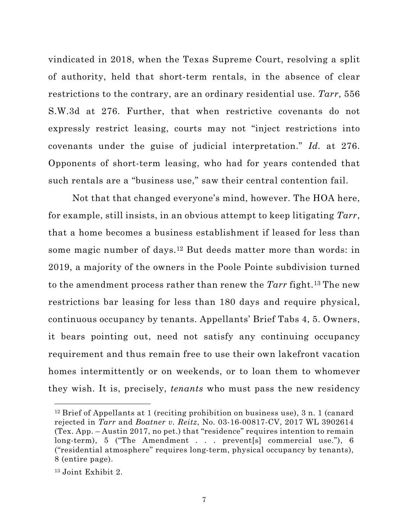<span id="page-15-0"></span>vindicated in 2018, when the Texas Supreme Court, resolving a split of authority, held that short-term rentals, in the absence of clear restrictions to the contrary, are an ordinary residential use. *Tarr*, 556 S.W.3d at 276. Further, that when restrictive covenants do not expressly restrict leasing, courts may not "inject restrictions into covenants under the guise of judicial interpretation." *Id.* at 276. Opponents of short-term leasing, who had for years contended that such rentals are a "business use," saw their central contention fail.

Not that that changed everyone's mind, however. The HOA here, for example, still insists, in an obvious attempt to keep litigating *Tarr*, that a home becomes a business establishment if leased for less than some magic number of days.12 But deeds matter more than words: in 2019, a majority of the owners in the Poole Pointe subdivision turned to the amendment process rather than renew the *Tarr* fight.13 The new restrictions bar leasing for less than 180 days and require physical, continuous occupancy by tenants. Appellants' Brief Tabs 4, 5. Owners, it bears pointing out, need not satisfy any continuing occupancy requirement and thus remain free to use their own lakefront vacation homes intermittently or on weekends, or to loan them to whomever they wish. It is, precisely, *tenants* who must pass the new residency

<sup>&</sup>lt;sup>12</sup> Brief of Appellants at 1 (reciting prohibition on business use), 3 n. 1 (canard rejected in *Tarr* and *Boatner v. Reitz*, No. 03-16-00817-CV, 2017 WL 3902614 (Tex. App. – Austin 2017, no pet.) that "residence" requires intention to remain long-term), 5 ("The Amendment . . . prevent[s] commercial use."), 6 ("residential atmosphere" requires long-term, physical occupancy by tenants), 8 (entire page).

<sup>13</sup> Joint Exhibit 2.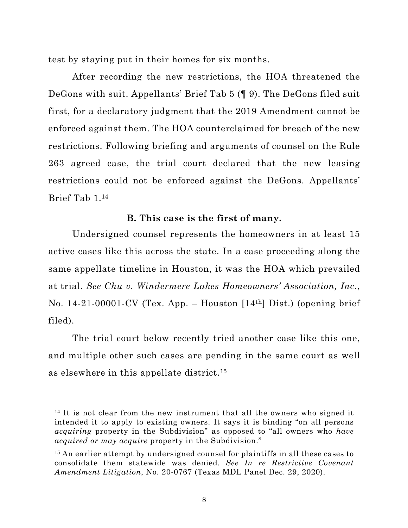<span id="page-16-0"></span>test by staying put in their homes for six months.

After recording the new restrictions, the HOA threatened the DeGons with suit. Appellants' Brief Tab 5 (¶ 9). The DeGons filed suit first, for a declaratory judgment that the 2019 Amendment cannot be enforced against them. The HOA counterclaimed for breach of the new restrictions. Following briefing and arguments of counsel on the Rule 263 agreed case, the trial court declared that the new leasing restrictions could not be enforced against the DeGons. Appellants' Brief Tab 1.14

### **B. This case is the first of many.**

Undersigned counsel represents the homeowners in at least 15 active cases like this across the state. In a case proceeding along the same appellate timeline in Houston, it was the HOA which prevailed at trial. *See Chu v. Windermere Lakes Homeowners' Association, Inc.*, No. 14-21-00001-CV (Tex. App. – Houston [14th] Dist.) (opening brief filed).

The trial court below recently tried another case like this one, and multiple other such cases are pending in the same court as well as elsewhere in this appellate district.15

 $14$  It is not clear from the new instrument that all the owners who signed it intended it to apply to existing owners. It says it is binding "on all persons *acquiring* property in the Subdivision" as opposed to "all owners who *have acquired or may acquire* property in the Subdivision."

<sup>&</sup>lt;sup>15</sup> An earlier attempt by undersigned counsel for plaintiffs in all these cases to consolidate them statewide was denied. *See In re Restrictive Covenant Amendment Litigation*, No. 20-0767 (Texas MDL Panel Dec. 29, 2020).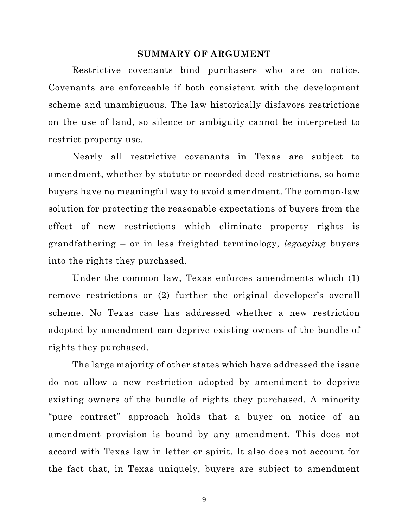#### **SUMMARY OF ARGUMENT**

<span id="page-17-0"></span>Restrictive covenants bind purchasers who are on notice. Covenants are enforceable if both consistent with the development scheme and unambiguous. The law historically disfavors restrictions on the use of land, so silence or ambiguity cannot be interpreted to restrict property use.

Nearly all restrictive covenants in Texas are subject to amendment, whether by statute or recorded deed restrictions, so home buyers have no meaningful way to avoid amendment. The common-law solution for protecting the reasonable expectations of buyers from the effect of new restrictions which eliminate property rights is grandfathering – or in less freighted terminology, *legacying* buyers into the rights they purchased.

Under the common law, Texas enforces amendments which (1) remove restrictions or (2) further the original developer's overall scheme. No Texas case has addressed whether a new restriction adopted by amendment can deprive existing owners of the bundle of rights they purchased.

The large majority of other states which have addressed the issue do not allow a new restriction adopted by amendment to deprive existing owners of the bundle of rights they purchased. A minority "pure contract" approach holds that a buyer on notice of an amendment provision is bound by any amendment. This does not accord with Texas law in letter or spirit. It also does not account for the fact that, in Texas uniquely, buyers are subject to amendment

9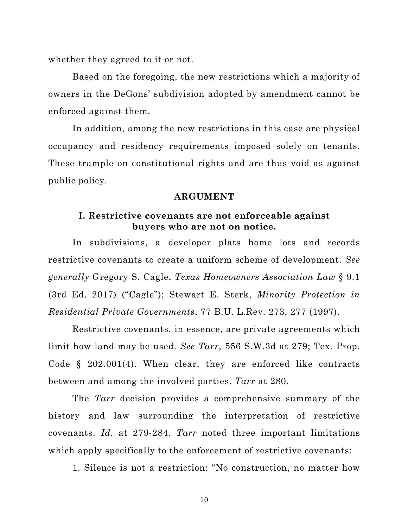<span id="page-18-0"></span>whether they agreed to it or not.

Based on the foregoing, the new restrictions which a majority of owners in the DeGons' subdivision adopted by amendment cannot be enforced against them.

In addition, among the new restrictions in this case are physical occupancy and residency requirements imposed solely on tenants. These trample on constitutional rights and are thus void as against public policy.

#### **ARGUMENT**

#### **I. Restrictive covenants are not enforceable against buyers who are not on notice.**

In subdivisions, a developer plats home lots and records restrictive covenants to create a uniform scheme of development. *See generally* Gregory S. Cagle, *Texas Homeowners Association Law* § 9.1 (3rd Ed. 2017) ("Cagle"); Stewart E. Sterk, *Minority Protection in Residential Private Governments*, 77 B.U. L.Rev. 273, 277 (1997).

Restrictive covenants, in essence, are private agreements which limit how land may be used. *See Tarr*, 556 S.W.3d at 279; Tex. Prop. Code § 202.001(4). When clear, they are enforced like contracts between and among the involved parties. *Tarr* at 280.

The *Tarr* decision provides a comprehensive summary of the history and law surrounding the interpretation of restrictive covenants. *Id.* at 279-284. *Tarr* noted three important limitations which apply specifically to the enforcement of restrictive covenants:

1. Silence is not a restriction: "No construction, no matter how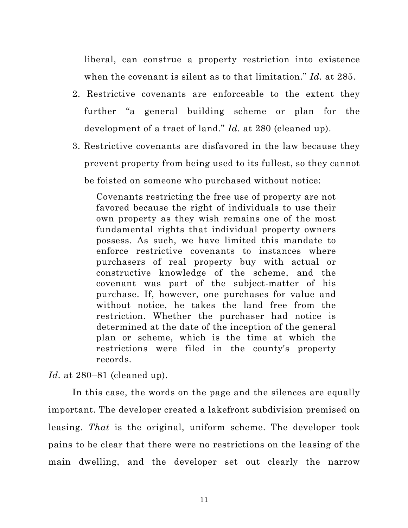liberal, can construe a property restriction into existence when the covenant is silent as to that limitation." *Id.* at 285.

- 2. Restrictive covenants are enforceable to the extent they further "a general building scheme or plan for the development of a tract of land." *Id.* at 280 (cleaned up).
- 3. Restrictive covenants are disfavored in the law because they prevent property from being used to its fullest, so they cannot be foisted on someone who purchased without notice:

Covenants restricting the free use of property are not favored because the right of individuals to use their own property as they wish remains one of the most fundamental rights that individual property owners possess. As such, we have limited this mandate to enforce restrictive covenants to instances where purchasers of real property buy with actual or constructive knowledge of the scheme, and the covenant was part of the subject-matter of his purchase. If, however, one purchases for value and without notice, he takes the land free from the restriction. Whether the purchaser had notice is determined at the date of the inception of the general plan or scheme, which is the time at which the restrictions were filed in the county's property records.

*Id.* at 280–81 (cleaned up).

In this case, the words on the page and the silences are equally important. The developer created a lakefront subdivision premised on leasing. *That* is the original, uniform scheme. The developer took pains to be clear that there were no restrictions on the leasing of the main dwelling, and the developer set out clearly the narrow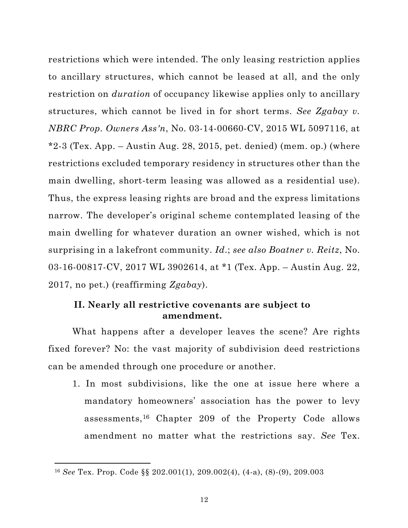<span id="page-20-0"></span>restrictions which were intended. The only leasing restriction applies to ancillary structures, which cannot be leased at all, and the only restriction on *duration* of occupancy likewise applies only to ancillary structures, which cannot be lived in for short terms. *See Zgabay v. NBRC Prop. Owners Ass'n*, No. 03-14-00660-CV, 2015 WL 5097116, at  $*2-3$  (Tex. App. – Austin Aug. 28, 2015, pet. denied) (mem. op.) (where restrictions excluded temporary residency in structures other than the main dwelling, short-term leasing was allowed as a residential use). Thus, the express leasing rights are broad and the express limitations narrow. The developer's original scheme contemplated leasing of the main dwelling for whatever duration an owner wished, which is not surprising in a lakefront community. *Id*.; *see also Boatner v. Reitz*, No. 03-16-00817-CV, 2017 WL 3902614, at \*1 (Tex. App. – Austin Aug. 22, 2017, no pet.) (reaffirming *Zgabay*).

#### **II. Nearly all restrictive covenants are subject to amendment.**

What happens after a developer leaves the scene? Are rights fixed forever? No: the vast majority of subdivision deed restrictions can be amended through one procedure or another.

1. In most subdivisions, like the one at issue here where a mandatory homeowners' association has the power to levy assessments,16 Chapter 209 of the Property Code allows amendment no matter what the restrictions say. *See* Tex.

<sup>16</sup> *See* Tex. Prop. Code §§ 202.001(1), 209.002(4), (4-a), (8)-(9), 209.003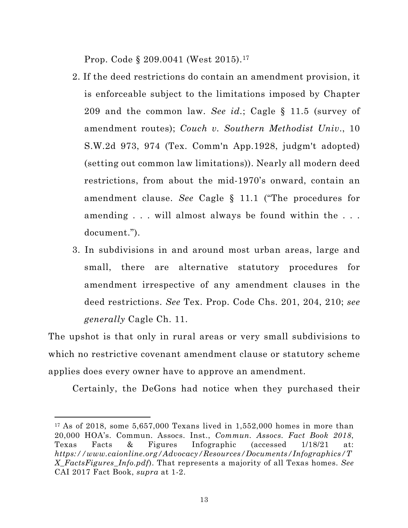<span id="page-21-0"></span>Prop. Code § 209.0041 (West 2015).17

- 2. If the deed restrictions do contain an amendment provision, it is enforceable subject to the limitations imposed by Chapter 209 and the common law. *See id.*; Cagle § 11.5 (survey of amendment routes); *Couch v. Southern Methodist Univ*., 10 S.W.2d 973, 974 (Tex. Comm'n App.1928, judgm't adopted) (setting out common law limitations)). Nearly all modern deed restrictions, from about the mid-1970's onward, contain an amendment clause. *See* Cagle § 11.1 ("The procedures for amending . . . will almost always be found within the . . . document.").
- 3. In subdivisions in and around most urban areas, large and small, there are alternative statutory procedures for amendment irrespective of any amendment clauses in the deed restrictions. *See* Tex. Prop. Code Chs. 201, 204, 210; *see generally* Cagle Ch. 11.

The upshot is that only in rural areas or very small subdivisions to which no restrictive covenant amendment clause or statutory scheme applies does every owner have to approve an amendment.

Certainly, the DeGons had notice when they purchased their

 $17$  As of 2018, some 5,657,000 Texans lived in 1,552,000 homes in more than 20,000 HOA's. Commun. Assocs. Inst., *Commun. Assocs. Fact Book 2018*, Texas Facts & Figures Infographic (accessed 1/18/21 at: *https://www.caionline.org/Advocacy/Resources/Documents/Infographics/T X\_FactsFigures\_Info.pdf*). That represents a majority of all Texas homes. *See*  CAI 2017 Fact Book, *supra* at 1-2.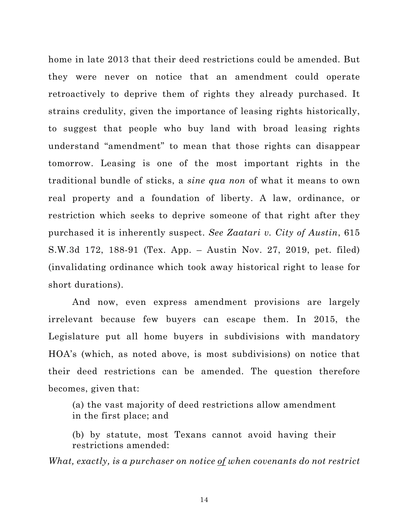<span id="page-22-0"></span>home in late 2013 that their deed restrictions could be amended. But they were never on notice that an amendment could operate retroactively to deprive them of rights they already purchased. It strains credulity, given the importance of leasing rights historically, to suggest that people who buy land with broad leasing rights understand "amendment" to mean that those rights can disappear tomorrow. Leasing is one of the most important rights in the traditional bundle of sticks, a *sine qua non* of what it means to own real property and a foundation of liberty. A law, ordinance, or restriction which seeks to deprive someone of that right after they purchased it is inherently suspect. *See Zaatari v. City of Austin*, 615 S.W.3d 172, 188-91 (Tex. App. – Austin Nov. 27, 2019, pet. filed) (invalidating ordinance which took away historical right to lease for short durations).

And now, even express amendment provisions are largely irrelevant because few buyers can escape them. In 2015, the Legislature put all home buyers in subdivisions with mandatory HOA's (which, as noted above, is most subdivisions) on notice that their deed restrictions can be amended. The question therefore becomes, given that:

(a) the vast majority of deed restrictions allow amendment in the first place; and

(b) by statute, most Texans cannot avoid having their restrictions amended:

*What, exactly, is a purchaser on notice of when covenants do not restrict* 

14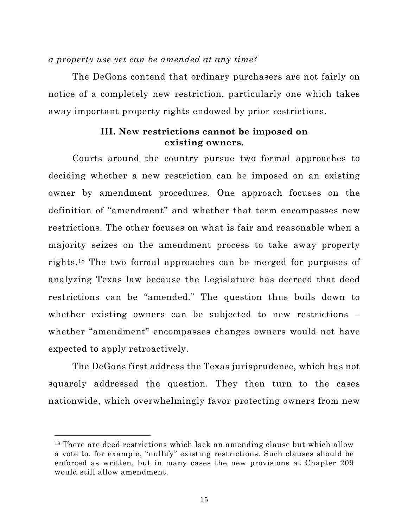#### <span id="page-23-0"></span>*a property use yet can be amended at any time?*

The DeGons contend that ordinary purchasers are not fairly on notice of a completely new restriction, particularly one which takes away important property rights endowed by prior restrictions.

### **III. New restrictions cannot be imposed on existing owners.**

Courts around the country pursue two formal approaches to deciding whether a new restriction can be imposed on an existing owner by amendment procedures. One approach focuses on the definition of "amendment" and whether that term encompasses new restrictions. The other focuses on what is fair and reasonable when a majority seizes on the amendment process to take away property rights.18 The two formal approaches can be merged for purposes of analyzing Texas law because the Legislature has decreed that deed restrictions can be "amended." The question thus boils down to whether existing owners can be subjected to new restrictions – whether "amendment" encompasses changes owners would not have expected to apply retroactively.

The DeGons first address the Texas jurisprudence, which has not squarely addressed the question. They then turn to the cases nationwide, which overwhelmingly favor protecting owners from new

<sup>18</sup> There are deed restrictions which lack an amending clause but which allow a vote to, for example, "nullify" existing restrictions. Such clauses should be enforced as written, but in many cases the new provisions at Chapter 209 would still allow amendment.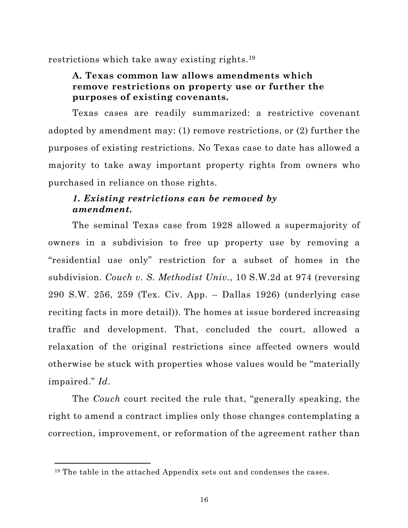<span id="page-24-0"></span>restrictions which take away existing rights.19

## **A. Texas common law allows amendments which remove restrictions on property use or further the purposes of existing covenants.**

Texas cases are readily summarized: a restrictive covenant adopted by amendment may: (1) remove restrictions, or (2) further the purposes of existing restrictions. No Texas case to date has allowed a majority to take away important property rights from owners who purchased in reliance on those rights.

# *1. Existing restrictions can be removed by amendment.*

The seminal Texas case from 1928 allowed a supermajority of owners in a subdivision to free up property use by removing a "residential use only" restriction for a subset of homes in the subdivision. *Couch v. S. Methodist Univ.*, 10 S.W.2d at 974 (reversing 290 S.W. 256, 259 (Tex. Civ. App. – Dallas 1926) (underlying case reciting facts in more detail)). The homes at issue bordered increasing traffic and development. That, concluded the court, allowed a relaxation of the original restrictions since affected owners would otherwise be stuck with properties whose values would be "materially impaired." *Id*.

The *Couch* court recited the rule that, "generally speaking, the right to amend a contract implies only those changes contemplating a correction, improvement, or reformation of the agreement rather than

<sup>&</sup>lt;sup>19</sup> The table in the attached Appendix sets out and condenses the cases.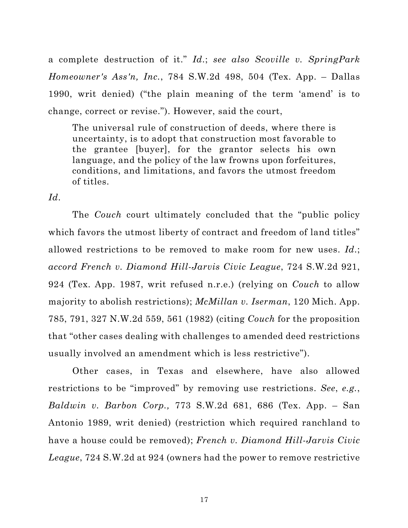<span id="page-25-0"></span>a complete destruction of it." *Id*.; *see also Scoville v. SpringPark Homeowner's Ass'n, Inc.*, 784 S.W.2d 498, 504 (Tex. App. – Dallas 1990, writ denied) ("the plain meaning of the term 'amend' is to change, correct or revise."). However, said the court,

The universal rule of construction of deeds, where there is uncertainty, is to adopt that construction most favorable to the grantee [buyer], for the grantor selects his own language, and the policy of the law frowns upon forfeitures, conditions, and limitations, and favors the utmost freedom of titles.

*Id*.

The *Couch* court ultimately concluded that the "public policy which favors the utmost liberty of contract and freedom of land titles" allowed restrictions to be removed to make room for new uses. *Id*.; *accord French v. Diamond Hill-Jarvis Civic League*, 724 S.W.2d 921, 924 (Tex. App. 1987, writ refused n.r.e.) (relying on *Couch* to allow majority to abolish restrictions); *McMillan v. Iserman*, 120 Mich. App. 785, 791, 327 N.W.2d 559, 561 (1982) (citing *Couch* for the proposition that "other cases dealing with challenges to amended deed restrictions usually involved an amendment which is less restrictive").

Other cases, in Texas and elsewhere, have also allowed restrictions to be "improved" by removing use restrictions. *See*, *e.g.*, *Baldwin v. Barbon Corp.,* 773 S.W.2d 681, 686 (Tex. App. – San Antonio 1989, writ denied) (restriction which required ranchland to have a house could be removed); *French v. Diamond Hill-Jarvis Civic League*, 724 S.W.2d at 924 (owners had the power to remove restrictive

17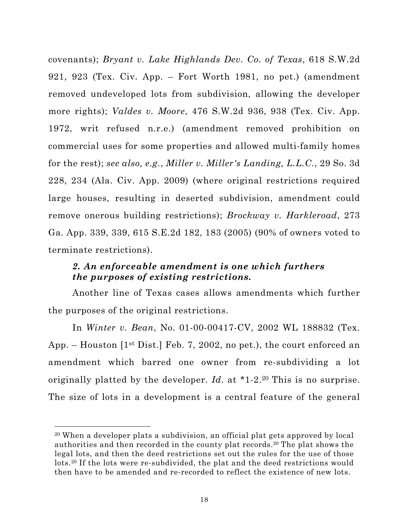<span id="page-26-0"></span>covenants); *Bryant v. Lake Highlands Dev. Co. of Texas*, 618 S.W.2d 921, 923 (Tex. Civ. App. – Fort Worth 1981, no pet.) (amendment removed undeveloped lots from subdivision, allowing the developer more rights); *Valdes v. Moore*, 476 S.W.2d 936, 938 (Tex. Civ. App. 1972, writ refused n.r.e.) (amendment removed prohibition on commercial uses for some properties and allowed multi-family homes for the rest); *see also, e.g.*, *Miller v. Miller's Landing, L.L.C.*, 29 So. 3d 228, 234 (Ala. Civ. App. 2009) (where original restrictions required large houses, resulting in deserted subdivision, amendment could remove onerous building restrictions); *Brockway v. Harkleroad*, 273 Ga. App. 339, 339, 615 S.E.2d 182, 183 (2005) (90% of owners voted to terminate restrictions).

## *2. An enforceable amendment is one which furthers the purposes of existing restrictions.*

Another line of Texas cases allows amendments which further the purposes of the original restrictions.

In *Winter v. Bean*, No. 01-00-00417-CV, 2002 WL 188832 (Tex. App. – Houston  $[1<sup>st</sup> Dist.]$  Feb. 7, 2002, no pet.), the court enforced an amendment which barred one owner from re-subdividing a lot originally platted by the developer. *Id*. at \*1-2.20 This is no surprise. The size of lots in a development is a central feature of the general

<sup>20</sup> When a developer plats a subdivision, an official plat gets approved by local authorities and then recorded in the county plat records.20 The plat shows the legal lots, and then the deed restrictions set out the rules for the use of those lots.20 If the lots were re-subdivided, the plat and the deed restrictions would then have to be amended and re-recorded to reflect the existence of new lots.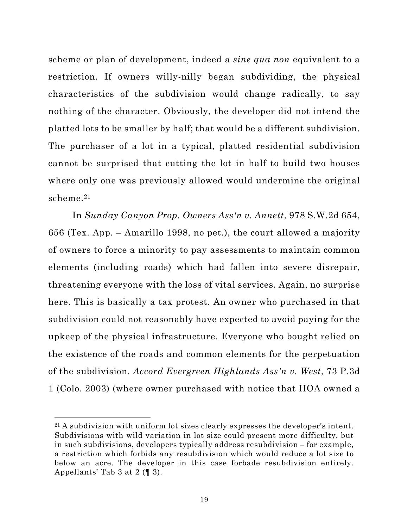<span id="page-27-0"></span>scheme or plan of development, indeed a *sine qua non* equivalent to a restriction. If owners willy-nilly began subdividing, the physical characteristics of the subdivision would change radically, to say nothing of the character. Obviously, the developer did not intend the platted lots to be smaller by half; that would be a different subdivision. The purchaser of a lot in a typical, platted residential subdivision cannot be surprised that cutting the lot in half to build two houses where only one was previously allowed would undermine the original scheme.21

In *Sunday Canyon Prop. Owners Ass'n v. Annett*, 978 S.W.2d 654, 656 (Tex. App. – Amarillo 1998, no pet.), the court allowed a majority of owners to force a minority to pay assessments to maintain common elements (including roads) which had fallen into severe disrepair, threatening everyone with the loss of vital services. Again, no surprise here. This is basically a tax protest. An owner who purchased in that subdivision could not reasonably have expected to avoid paying for the upkeep of the physical infrastructure. Everyone who bought relied on the existence of the roads and common elements for the perpetuation of the subdivision. *Accord Evergreen Highlands Ass'n v. West*, 73 P.3d 1 (Colo. 2003) (where owner purchased with notice that HOA owned a

 $21$  A subdivision with uniform lot sizes clearly expresses the developer's intent. Subdivisions with wild variation in lot size could present more difficulty, but in such subdivisions, developers typically address resubdivision – for example, a restriction which forbids any resubdivision which would reduce a lot size to below an acre. The developer in this case forbade resubdivision entirely. Appellants' Tab 3 at 2 (¶ 3).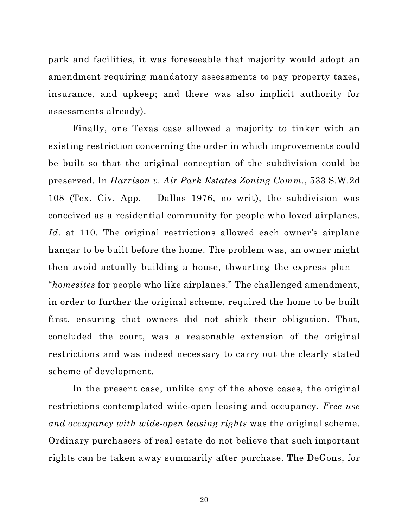<span id="page-28-0"></span>park and facilities, it was foreseeable that majority would adopt an amendment requiring mandatory assessments to pay property taxes, insurance, and upkeep; and there was also implicit authority for assessments already).

Finally, one Texas case allowed a majority to tinker with an existing restriction concerning the order in which improvements could be built so that the original conception of the subdivision could be preserved. In *Harrison v. Air Park Estates Zoning Comm.*, 533 S.W.2d 108 (Tex. Civ. App. – Dallas 1976, no writ), the subdivision was conceived as a residential community for people who loved airplanes. *Id*. at 110. The original restrictions allowed each owner's airplane hangar to be built before the home. The problem was, an owner might then avoid actually building a house, thwarting the express plan – "*homesites* for people who like airplanes." The challenged amendment, in order to further the original scheme, required the home to be built first, ensuring that owners did not shirk their obligation. That, concluded the court, was a reasonable extension of the original restrictions and was indeed necessary to carry out the clearly stated scheme of development.

In the present case, unlike any of the above cases, the original restrictions contemplated wide-open leasing and occupancy. *Free use and occupancy with wide-open leasing rights* was the original scheme. Ordinary purchasers of real estate do not believe that such important rights can be taken away summarily after purchase. The DeGons, for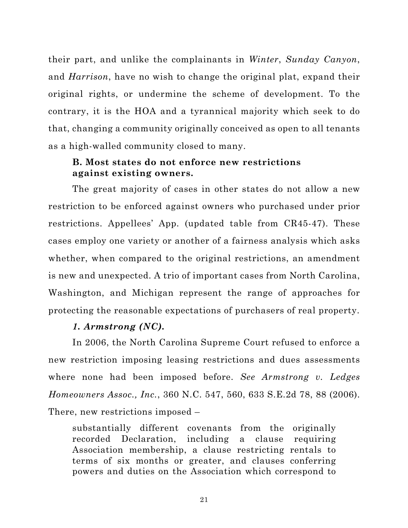<span id="page-29-0"></span>their part, and unlike the complainants in *Winter*, *Sunday Canyon*, and *Harrison*, have no wish to change the original plat, expand their original rights, or undermine the scheme of development. To the contrary, it is the HOA and a tyrannical majority which seek to do that, changing a community originally conceived as open to all tenants as a high-walled community closed to many.

### **B. Most states do not enforce new restrictions against existing owners.**

The great majority of cases in other states do not allow a new restriction to be enforced against owners who purchased under prior restrictions. Appellees' App. (updated table from CR45-47). These cases employ one variety or another of a fairness analysis which asks whether, when compared to the original restrictions, an amendment is new and unexpected. A trio of important cases from North Carolina, Washington, and Michigan represent the range of approaches for protecting the reasonable expectations of purchasers of real property.

#### *1. Armstrong (NC).*

In 2006, the North Carolina Supreme Court refused to enforce a new restriction imposing leasing restrictions and dues assessments where none had been imposed before. *See Armstrong v. Ledges Homeowners Assoc., Inc.*, 360 N.C. 547, 560, 633 S.E.2d 78, 88 (2006). There, new restrictions imposed –

substantially different covenants from the originally recorded Declaration, including a clause requiring Association membership, a clause restricting rentals to terms of six months or greater, and clauses conferring powers and duties on the Association which correspond to

21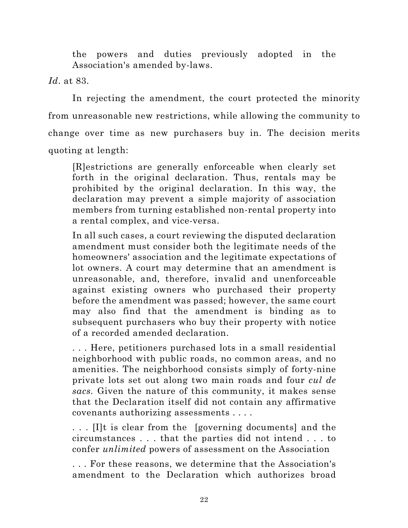the powers and duties previously adopted in the Association's amended by-laws.

*Id*. at 83.

In rejecting the amendment, the court protected the minority from unreasonable new restrictions, while allowing the community to change over time as new purchasers buy in. The decision merits quoting at length:

[R]estrictions are generally enforceable when clearly set forth in the original declaration. Thus, rentals may be prohibited by the original declaration. In this way, the declaration may prevent a simple majority of association members from turning established non-rental property into a rental complex, and vice-versa.

In all such cases, a court reviewing the disputed declaration amendment must consider both the legitimate needs of the homeowners' association and the legitimate expectations of lot owners. A court may determine that an amendment is unreasonable, and, therefore, invalid and unenforceable against existing owners who purchased their property before the amendment was passed; however, the same court may also find that the amendment is binding as to subsequent purchasers who buy their property with notice of a recorded amended declaration.

. . . Here, petitioners purchased lots in a small residential neighborhood with public roads, no common areas, and no amenities. The neighborhood consists simply of forty-nine private lots set out along two main roads and four *cul de sacs.* Given the nature of this community, it makes sense that the Declaration itself did not contain any affirmative covenants authorizing assessments . . . .

. . . [I]t is clear from the [governing documents] and the circumstances . . . that the parties did not intend . . . to confer *unlimited* powers of assessment on the Association

. . . For these reasons, we determine that the Association's amendment to the Declaration which authorizes broad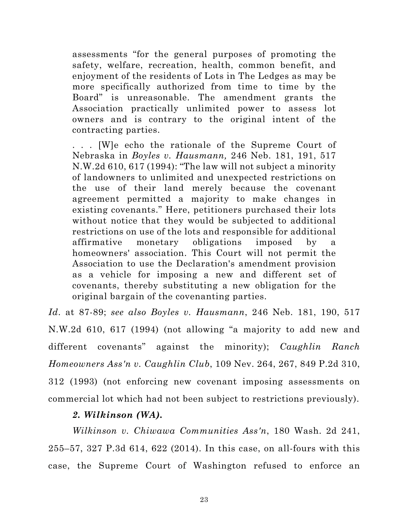<span id="page-31-0"></span>assessments "for the general purposes of promoting the safety, welfare, recreation, health, common benefit, and enjoyment of the residents of Lots in The Ledges as may be more specifically authorized from time to time by the Board" is unreasonable. The amendment grants the Association practically unlimited power to assess lot owners and is contrary to the original intent of the contracting parties.

. . . [W]e echo the rationale of the Supreme Court of Nebraska in *Boyles v. Hausmann,* 246 Neb. 181, 191, 517 N.W.2d 610, 617 (1994): "The law will not subject a minority of landowners to unlimited and unexpected restrictions on the use of their land merely because the covenant agreement permitted a majority to make changes in existing covenants." Here, petitioners purchased their lots without notice that they would be subjected to additional restrictions on use of the lots and responsible for additional affirmative monetary obligations imposed by a homeowners' association. This Court will not permit the Association to use the Declaration's amendment provision as a vehicle for imposing a new and different set of covenants, thereby substituting a new obligation for the original bargain of the covenanting parties.

*Id*. at 87-89; *see also Boyles v. Hausmann*, 246 Neb. 181, 190, 517 N.W.2d 610, 617 (1994) (not allowing "a majority to add new and different covenants" against the minority); *Caughlin Ranch Homeowners Ass'n v. Caughlin Club*, 109 Nev. 264, 267, 849 P.2d 310, 312 (1993) (not enforcing new covenant imposing assessments on commercial lot which had not been subject to restrictions previously).

#### *2. Wilkinson (WA).*

*Wilkinson v. Chiwawa Communities Ass'n*, 180 Wash. 2d 241, 255–57, 327 P.3d 614, 622 (2014). In this case, on all-fours with this case, the Supreme Court of Washington refused to enforce an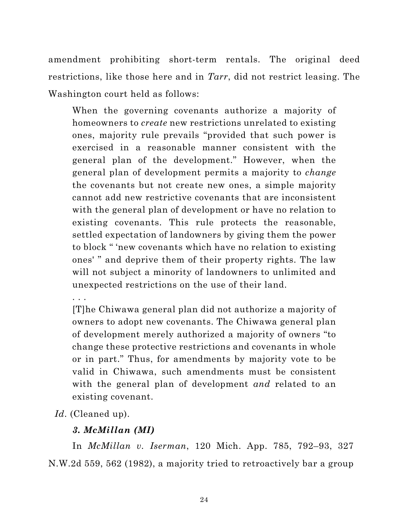<span id="page-32-0"></span>amendment prohibiting short-term rentals. The original deed restrictions, like those here and in *Tarr*, did not restrict leasing. The Washington court held as follows:

When the governing covenants authorize a majority of homeowners to *create* new restrictions unrelated to existing ones, majority rule prevails "provided that such power is exercised in a reasonable manner consistent with the general plan of the development." However, when the general plan of development permits a majority to *change* the covenants but not create new ones, a simple majority cannot add new restrictive covenants that are inconsistent with the general plan of development or have no relation to existing covenants. This rule protects the reasonable, settled expectation of landowners by giving them the power to block " 'new covenants which have no relation to existing ones' " and deprive them of their property rights. The law will not subject a minority of landowners to unlimited and unexpected restrictions on the use of their land.

. . .

[T]he Chiwawa general plan did not authorize a majority of owners to adopt new covenants. The Chiwawa general plan of development merely authorized a majority of owners "to change these protective restrictions and covenants in whole or in part." Thus, for amendments by majority vote to be valid in Chiwawa, such amendments must be consistent with the general plan of development *and* related to an existing covenant.

*Id*. (Cleaned up).

# *3. McMillan (MI)*

In *McMillan v. Iserman*, 120 Mich. App. 785, 792–93, 327 N.W.2d 559, 562 (1982), a majority tried to retroactively bar a group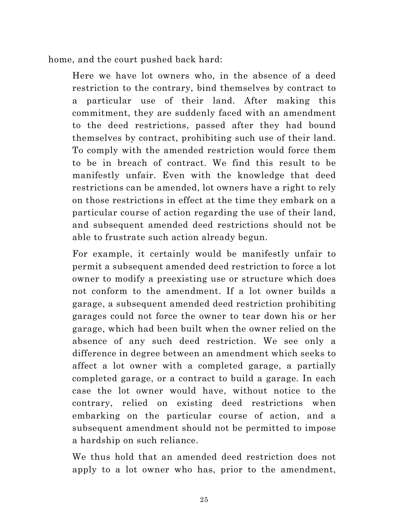home, and the court pushed back hard:

Here we have lot owners who, in the absence of a deed restriction to the contrary, bind themselves by contract to a particular use of their land. After making this commitment, they are suddenly faced with an amendment to the deed restrictions, passed after they had bound themselves by contract, prohibiting such use of their land. To comply with the amended restriction would force them to be in breach of contract. We find this result to be manifestly unfair. Even with the knowledge that deed restrictions can be amended, lot owners have a right to rely on those restrictions in effect at the time they embark on a particular course of action regarding the use of their land, and subsequent amended deed restrictions should not be able to frustrate such action already begun.

For example, it certainly would be manifestly unfair to permit a subsequent amended deed restriction to force a lot owner to modify a preexisting use or structure which does not conform to the amendment. If a lot owner builds a garage, a subsequent amended deed restriction prohibiting garages could not force the owner to tear down his or her garage, which had been built when the owner relied on the absence of any such deed restriction. We see only a difference in degree between an amendment which seeks to affect a lot owner with a completed garage, a partially completed garage, or a contract to build a garage. In each case the lot owner would have, without notice to the contrary, relied on existing deed restrictions when embarking on the particular course of action, and a subsequent amendment should not be permitted to impose a hardship on such reliance.

We thus hold that an amended deed restriction does not apply to a lot owner who has, prior to the amendment,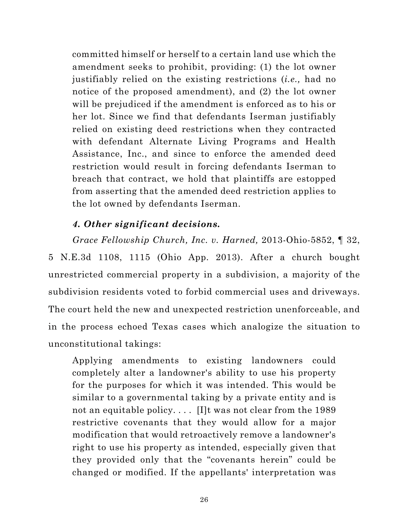<span id="page-34-0"></span>committed himself or herself to a certain land use which the amendment seeks to prohibit, providing: (1) the lot owner justifiably relied on the existing restrictions (*i.e.,* had no notice of the proposed amendment), and (2) the lot owner will be prejudiced if the amendment is enforced as to his or her lot. Since we find that defendants Iserman justifiably relied on existing deed restrictions when they contracted with defendant Alternate Living Programs and Health Assistance, Inc., and since to enforce the amended deed restriction would result in forcing defendants Iserman to breach that contract, we hold that plaintiffs are estopped from asserting that the amended deed restriction applies to the lot owned by defendants Iserman.

### *4. Other significant decisions.*

*Grace Fellowship Church, Inc. v. Harned,* 2013-Ohio-5852, ¶ 32, 5 N.E.3d 1108, 1115 (Ohio App. 2013). After a church bought unrestricted commercial property in a subdivision, a majority of the subdivision residents voted to forbid commercial uses and driveways. The court held the new and unexpected restriction unenforceable, and in the process echoed Texas cases which analogize the situation to unconstitutional takings:

Applying amendments to existing landowners could completely alter a landowner's ability to use his property for the purposes for which it was intended. This would be similar to a governmental taking by a private entity and is not an equitable policy.... [I]t was not clear from the 1989 restrictive covenants that they would allow for a major modification that would retroactively remove a landowner's right to use his property as intended, especially given that they provided only that the "covenants herein" could be changed or modified. If the appellants' interpretation was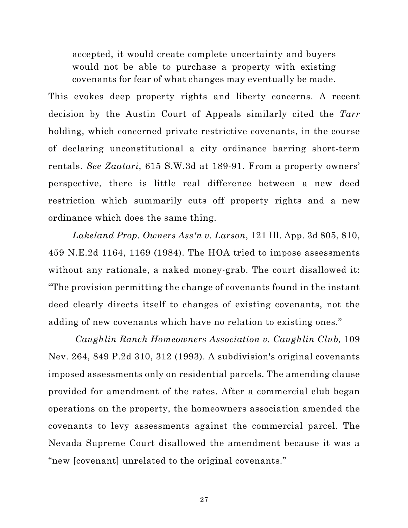<span id="page-35-0"></span>accepted, it would create complete uncertainty and buyers would not be able to purchase a property with existing covenants for fear of what changes may eventually be made.

This evokes deep property rights and liberty concerns. A recent decision by the Austin Court of Appeals similarly cited the *Tarr* holding, which concerned private restrictive covenants, in the course of declaring unconstitutional a city ordinance barring short-term rentals. *See Zaatari*, 615 S.W.3d at 189-91. From a property owners' perspective, there is little real difference between a new deed restriction which summarily cuts off property rights and a new ordinance which does the same thing.

*Lakeland Prop. Owners Ass'n v. Larson*, 121 Ill. App. 3d 805, 810, 459 N.E.2d 1164, 1169 (1984). The HOA tried to impose assessments without any rationale, a naked money-grab. The court disallowed it: "The provision permitting the change of covenants found in the instant deed clearly directs itself to changes of existing covenants, not the adding of new covenants which have no relation to existing ones."

*Caughlin Ranch Homeowners Association v. Caughlin Club,* 109 Nev. 264, 849 P.2d 310, 312 (1993). A subdivision's original covenants imposed assessments only on residential parcels. The amending clause provided for amendment of the rates. After a commercial club began operations on the property, the homeowners association amended the covenants to levy assessments against the commercial parcel. The Nevada Supreme Court disallowed the amendment because it was a "new [covenant] unrelated to the original covenants."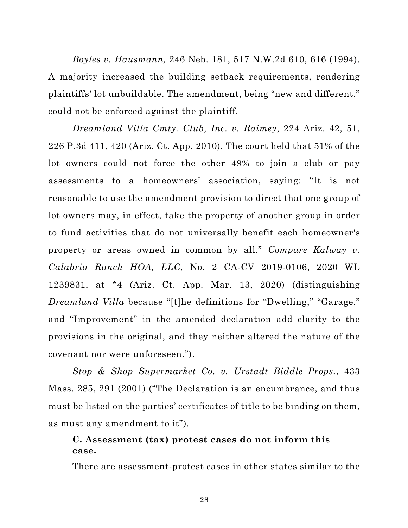<span id="page-36-0"></span>*Boyles v. Hausmann,* 246 Neb. 181, 517 N.W.2d 610, 616 (1994). A majority increased the building setback requirements, rendering plaintiffs' lot unbuildable. The amendment, being "new and different," could not be enforced against the plaintiff.

*Dreamland Villa Cmty. Club, Inc. v. Raimey*, 224 Ariz. 42, 51, 226 P.3d 411, 420 (Ariz. Ct. App. 2010). The court held that 51% of the lot owners could not force the other 49% to join a club or pay assessments to a homeowners' association, saying: "It is not reasonable to use the amendment provision to direct that one group of lot owners may, in effect, take the property of another group in order to fund activities that do not universally benefit each homeowner's property or areas owned in common by all." *Compare Kalway v. Calabria Ranch HOA, LLC*, No. 2 CA-CV 2019-0106, 2020 WL 1239831, at \*4 (Ariz. Ct. App. Mar. 13, 2020) (distinguishing *Dreamland Villa* because "[t]he definitions for "Dwelling," "Garage," and "Improvement" in the amended declaration add clarity to the provisions in the original, and they neither altered the nature of the covenant nor were unforeseen.").

*Stop & Shop Supermarket Co. v. Urstadt Biddle Props.*, 433 Mass. 285, 291 (2001) ("The Declaration is an encumbrance, and thus must be listed on the parties' certificates of title to be binding on them, as must any amendment to it").

## **C. Assessment (tax) protest cases do not inform this case.**

There are assessment-protest cases in other states similar to the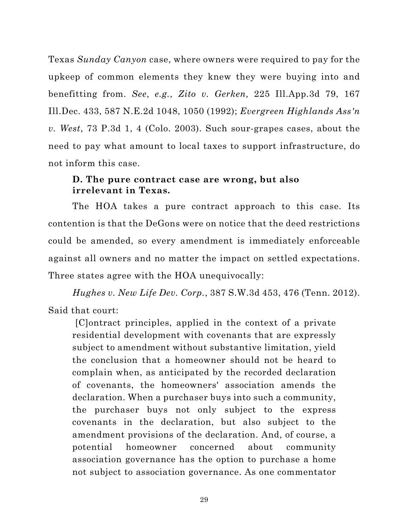<span id="page-37-0"></span>Texas *Sunday Canyon* case, where owners were required to pay for the upkeep of common elements they knew they were buying into and benefitting from. *See*, *e.g.*, *Zito v. Gerken,* 225 Ill.App.3d 79, 167 Ill.Dec. 433, 587 N.E.2d 1048, 1050 (1992); *Evergreen Highlands Ass'n v. West*, 73 P.3d 1, 4 (Colo. 2003). Such sour-grapes cases, about the need to pay what amount to local taxes to support infrastructure, do not inform this case.

## **D. The pure contract case are wrong, but also irrelevant in Texas.**

The HOA takes a pure contract approach to this case. Its contention is that the DeGons were on notice that the deed restrictions could be amended, so every amendment is immediately enforceable against all owners and no matter the impact on settled expectations. Three states agree with the HOA unequivocally:

*Hughes v. New Life Dev. Corp.*, 387 S.W.3d 453, 476 (Tenn. 2012). Said that court:

[C]ontract principles, applied in the context of a private residential development with covenants that are expressly subject to amendment without substantive limitation, yield the conclusion that a homeowner should not be heard to complain when, as anticipated by the recorded declaration of covenants, the homeowners' association amends the declaration. When a purchaser buys into such a community, the purchaser buys not only subject to the express covenants in the declaration, but also subject to the amendment provisions of the declaration. And, of course, a potential homeowner concerned about community association governance has the option to purchase a home not subject to association governance. As one commentator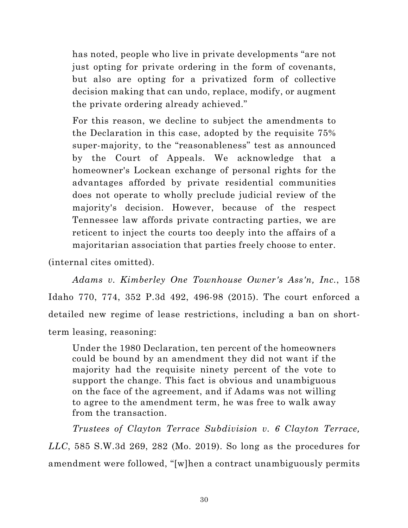<span id="page-38-0"></span>has noted, people who live in private developments "are not just opting for private ordering in the form of covenants, but also are opting for a privatized form of collective decision making that can undo, replace, modify, or augment the private ordering already achieved."

For this reason, we decline to subject the amendments to the Declaration in this case, adopted by the requisite 75% super-majority, to the "reasonableness" test as announced by the Court of Appeals. We acknowledge that a homeowner's Lockean exchange of personal rights for the advantages afforded by private residential communities does not operate to wholly preclude judicial review of the majority's decision. However, because of the respect Tennessee law affords private contracting parties, we are reticent to inject the courts too deeply into the affairs of a majoritarian association that parties freely choose to enter.

(internal cites omitted).

*Adams v. Kimberley One Townhouse Owner's Ass'n, Inc.*, 158 Idaho 770, 774, 352 P.3d 492, 496-98 (2015). The court enforced a detailed new regime of lease restrictions, including a ban on shortterm leasing, reasoning:

Under the 1980 Declaration, ten percent of the homeowners could be bound by an amendment they did not want if the majority had the requisite ninety percent of the vote to support the change. This fact is obvious and unambiguous on the face of the agreement, and if Adams was not willing to agree to the amendment term, he was free to walk away from the transaction.

*Trustees of Clayton Terrace Subdivision v. 6 Clayton Terrace, LLC*, 585 S.W.3d 269, 282 (Mo. 2019). So long as the procedures for amendment were followed, "[w]hen a contract unambiguously permits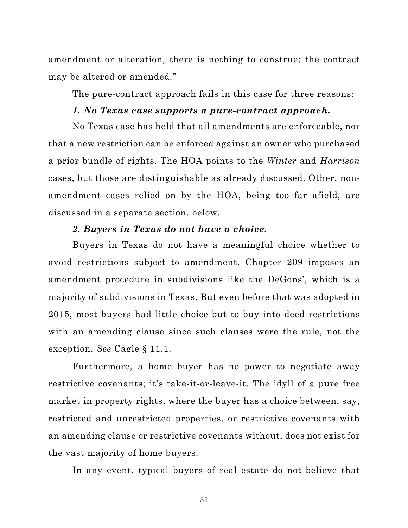<span id="page-39-0"></span>amendment or alteration, there is nothing to construe; the contract may be altered or amended."

The pure-contract approach fails in this case for three reasons:

#### *1. No Texas case supports a pure-contract approach.*

No Texas case has held that all amendments are enforceable, nor that a new restriction can be enforced against an owner who purchased a prior bundle of rights. The HOA points to the *Winter* and *Harrison* cases, but those are distinguishable as already discussed. Other, nonamendment cases relied on by the HOA, being too far afield, are discussed in a separate section, below.

#### *2. Buyers in Texas do not have a choice.*

Buyers in Texas do not have a meaningful choice whether to avoid restrictions subject to amendment. Chapter 209 imposes an amendment procedure in subdivisions like the DeGons', which is a majority of subdivisions in Texas. But even before that was adopted in 2015, most buyers had little choice but to buy into deed restrictions with an amending clause since such clauses were the rule, not the exception. *See* Cagle § 11.1.

Furthermore, a home buyer has no power to negotiate away restrictive covenants; it's take-it-or-leave-it. The idyll of a pure free market in property rights, where the buyer has a choice between, say, restricted and unrestricted properties, or restrictive covenants with an amending clause or restrictive covenants without, does not exist for the vast majority of home buyers.

In any event, typical buyers of real estate do not believe that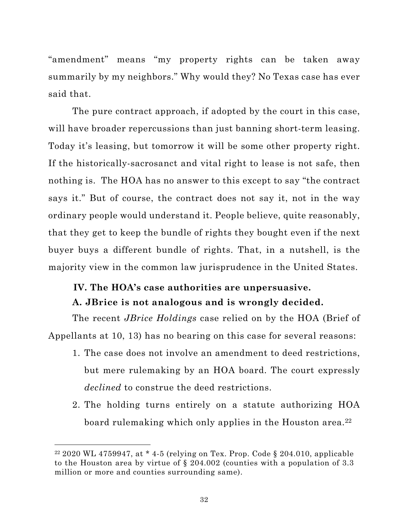<span id="page-40-0"></span>"amendment" means "my property rights can be taken away summarily by my neighbors." Why would they? No Texas case has ever said that.

The pure contract approach, if adopted by the court in this case, will have broader repercussions than just banning short-term leasing. Today it's leasing, but tomorrow it will be some other property right. If the historically-sacrosanct and vital right to lease is not safe, then nothing is. The HOA has no answer to this except to say "the contract says it." But of course, the contract does not say it, not in the way ordinary people would understand it. People believe, quite reasonably, that they get to keep the bundle of rights they bought even if the next buyer buys a different bundle of rights. That, in a nutshell, is the majority view in the common law jurisprudence in the United States.

# **IV. The HOA's case authorities are unpersuasive.**

#### **A. JBrice is not analogous and is wrongly decided.**

The recent *JBrice Holdings* case relied on by the HOA (Brief of Appellants at 10, 13) has no bearing on this case for several reasons:

- 1. The case does not involve an amendment to deed restrictions, but mere rulemaking by an HOA board. The court expressly *declined* to construe the deed restrictions.
- 2. The holding turns entirely on a statute authorizing HOA board rulemaking which only applies in the Houston area.<sup>22</sup>

<sup>&</sup>lt;sup>22</sup> 2020 WL 4759947, at \*4-5 (relying on Tex. Prop. Code § 204.010, applicable to the Houston area by virtue of § 204.002 (counties with a population of 3.3 million or more and counties surrounding same).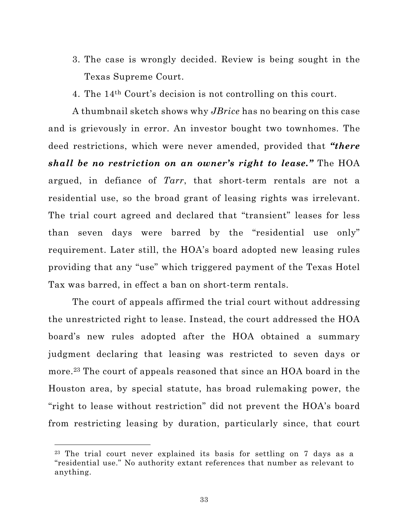- 3. The case is wrongly decided. Review is being sought in the Texas Supreme Court.
- 4. The 14th Court's decision is not controlling on this court.

A thumbnail sketch shows why *JBrice* has no bearing on this case and is grievously in error. An investor bought two townhomes. The deed restrictions, which were never amended, provided that *"there shall be no restriction on an owner's right to lease."* The HOA argued, in defiance of *Tarr*, that short-term rentals are not a residential use, so the broad grant of leasing rights was irrelevant. The trial court agreed and declared that "transient" leases for less than seven days were barred by the "residential use only" requirement. Later still, the HOA's board adopted new leasing rules providing that any "use" which triggered payment of the Texas Hotel Tax was barred, in effect a ban on short-term rentals.

The court of appeals affirmed the trial court without addressing the unrestricted right to lease. Instead, the court addressed the HOA board's new rules adopted after the HOA obtained a summary judgment declaring that leasing was restricted to seven days or more.23 The court of appeals reasoned that since an HOA board in the Houston area, by special statute, has broad rulemaking power, the "right to lease without restriction" did not prevent the HOA's board from restricting leasing by duration, particularly since, that court

<sup>&</sup>lt;sup>23</sup> The trial court never explained its basis for settling on 7 days as a "residential use." No authority extant references that number as relevant to anything.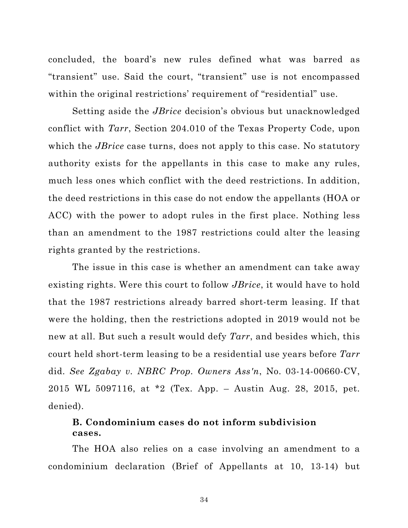<span id="page-42-0"></span>concluded, the board's new rules defined what was barred as "transient" use. Said the court, "transient" use is not encompassed within the original restrictions' requirement of "residential" use.

Setting aside the *JBrice* decision's obvious but unacknowledged conflict with *Tarr*, Section 204.010 of the Texas Property Code, upon which the *JBrice* case turns, does not apply to this case. No statutory authority exists for the appellants in this case to make any rules, much less ones which conflict with the deed restrictions. In addition, the deed restrictions in this case do not endow the appellants (HOA or ACC) with the power to adopt rules in the first place. Nothing less than an amendment to the 1987 restrictions could alter the leasing rights granted by the restrictions.

The issue in this case is whether an amendment can take away existing rights. Were this court to follow *JBrice*, it would have to hold that the 1987 restrictions already barred short-term leasing. If that were the holding, then the restrictions adopted in 2019 would not be new at all. But such a result would defy *Tarr*, and besides which, this court held short-term leasing to be a residential use years before *Tarr* did. *See Zgabay v. NBRC Prop. Owners Ass'n*, No. 03-14-00660-CV, 2015 WL 5097116, at \*2 (Tex. App. – Austin Aug. 28, 2015, pet. denied).

# **B. Condominium cases do not inform subdivision cases.**

The HOA also relies on a case involving an amendment to a condominium declaration (Brief of Appellants at 10, 13-14) but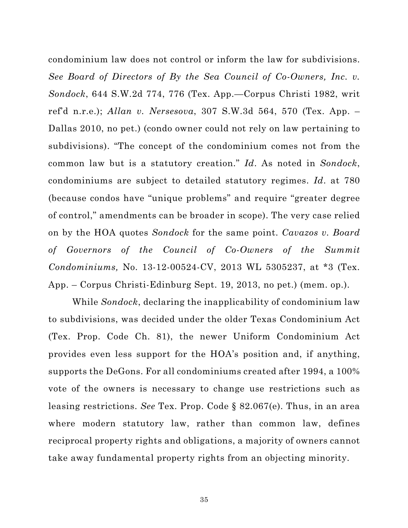<span id="page-43-0"></span>condominium law does not control or inform the law for subdivisions. *See Board of Directors of By the Sea Council of Co-Owners, Inc. v. Sondock*, 644 S.W.2d 774, 776 (Tex. App.—Corpus Christi 1982, writ ref'd n.r.e.); *Allan v. Nersesova*, 307 S.W.3d 564, 570 (Tex. App. – Dallas 2010, no pet.) (condo owner could not rely on law pertaining to subdivisions). "The concept of the condominium comes not from the common law but is a statutory creation." *Id*. As noted in *Sondock*, condominiums are subject to detailed statutory regimes. *Id*. at 780 (because condos have "unique problems" and require "greater degree of control," amendments can be broader in scope). The very case relied on by the HOA quotes *Sondock* for the same point. *Cavazos v. Board of Governors of the Council of Co-Owners of the Summit Condominiums,* No. 13-12-00524-CV, 2013 WL 5305237, at \*3 (Tex. App. – Corpus Christi-Edinburg Sept. 19, 2013, no pet.) (mem. op.).

While *Sondock*, declaring the inapplicability of condominium law to subdivisions, was decided under the older Texas Condominium Act (Tex. Prop. Code Ch. 81), the newer Uniform Condominium Act provides even less support for the HOA's position and, if anything, supports the DeGons. For all condominiums created after 1994, a 100% vote of the owners is necessary to change use restrictions such as leasing restrictions. *See* Tex. Prop. Code § 82.067(e). Thus, in an area where modern statutory law, rather than common law, defines reciprocal property rights and obligations, a majority of owners cannot take away fundamental property rights from an objecting minority.

35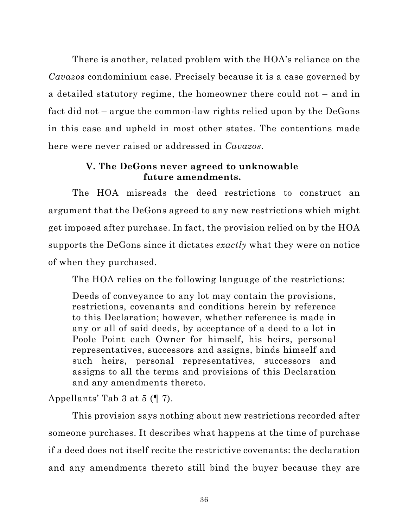<span id="page-44-0"></span>There is another, related problem with the HOA's reliance on the *Cavazos* condominium case. Precisely because it is a case governed by a detailed statutory regime, the homeowner there could not – and in fact did not – argue the common-law rights relied upon by the DeGons in this case and upheld in most other states. The contentions made here were never raised or addressed in *Cavazos*.

## **V. The DeGons never agreed to unknowable future amendments.**

The HOA misreads the deed restrictions to construct an argument that the DeGons agreed to any new restrictions which might get imposed after purchase. In fact, the provision relied on by the HOA supports the DeGons since it dictates *exactly* what they were on notice of when they purchased.

The HOA relies on the following language of the restrictions:

Deeds of conveyance to any lot may contain the provisions, restrictions, covenants and conditions herein by reference to this Declaration; however, whether reference is made in any or all of said deeds, by acceptance of a deed to a lot in Poole Point each Owner for himself, his heirs, personal representatives, successors and assigns, binds himself and such heirs, personal representatives, successors and assigns to all the terms and provisions of this Declaration and any amendments thereto.

# Appellants' Tab 3 at 5 (¶ 7).

This provision says nothing about new restrictions recorded after someone purchases. It describes what happens at the time of purchase if a deed does not itself recite the restrictive covenants: the declaration and any amendments thereto still bind the buyer because they are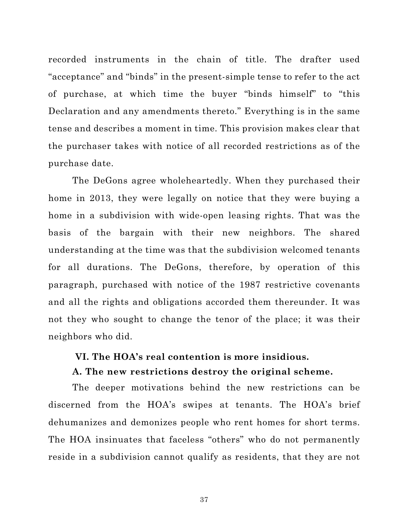<span id="page-45-0"></span>recorded instruments in the chain of title. The drafter used "acceptance" and "binds" in the present-simple tense to refer to the act of purchase, at which time the buyer "binds himself" to "this Declaration and any amendments thereto." Everything is in the same tense and describes a moment in time. This provision makes clear that the purchaser takes with notice of all recorded restrictions as of the purchase date.

The DeGons agree wholeheartedly. When they purchased their home in 2013, they were legally on notice that they were buying a home in a subdivision with wide-open leasing rights. That was the basis of the bargain with their new neighbors. The shared understanding at the time was that the subdivision welcomed tenants for all durations. The DeGons, therefore, by operation of this paragraph, purchased with notice of the 1987 restrictive covenants and all the rights and obligations accorded them thereunder. It was not they who sought to change the tenor of the place; it was their neighbors who did.

#### **VI. The HOA's real contention is more insidious.**

#### **A. The new restrictions destroy the original scheme.**

The deeper motivations behind the new restrictions can be discerned from the HOA's swipes at tenants. The HOA's brief dehumanizes and demonizes people who rent homes for short terms. The HOA insinuates that faceless "others" who do not permanently reside in a subdivision cannot qualify as residents, that they are not

37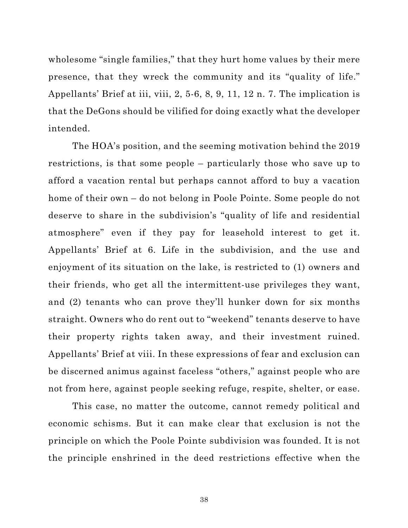wholesome "single families," that they hurt home values by their mere presence, that they wreck the community and its "quality of life." Appellants' Brief at iii, viii, 2, 5-6, 8, 9, 11, 12 n. 7. The implication is that the DeGons should be vilified for doing exactly what the developer intended.

The HOA's position, and the seeming motivation behind the 2019 restrictions, is that some people – particularly those who save up to afford a vacation rental but perhaps cannot afford to buy a vacation home of their own – do not belong in Poole Pointe. Some people do not deserve to share in the subdivision's "quality of life and residential atmosphere" even if they pay for leasehold interest to get it. Appellants' Brief at 6. Life in the subdivision, and the use and enjoyment of its situation on the lake, is restricted to (1) owners and their friends, who get all the intermittent-use privileges they want, and (2) tenants who can prove they'll hunker down for six months straight. Owners who do rent out to "weekend" tenants deserve to have their property rights taken away, and their investment ruined. Appellants' Brief at viii. In these expressions of fear and exclusion can be discerned animus against faceless "others," against people who are not from here, against people seeking refuge, respite, shelter, or ease.

This case, no matter the outcome, cannot remedy political and economic schisms. But it can make clear that exclusion is not the principle on which the Poole Pointe subdivision was founded. It is not the principle enshrined in the deed restrictions effective when the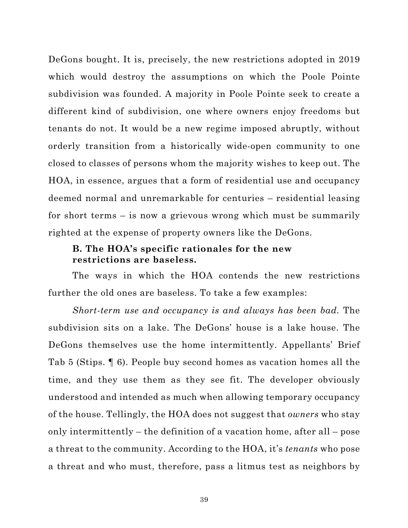<span id="page-47-0"></span>DeGons bought. It is, precisely, the new restrictions adopted in 2019 which would destroy the assumptions on which the Poole Pointe subdivision was founded. A majority in Poole Pointe seek to create a different kind of subdivision, one where owners enjoy freedoms but tenants do not. It would be a new regime imposed abruptly, without orderly transition from a historically wide-open community to one closed to classes of persons whom the majority wishes to keep out. The HOA, in essence, argues that a form of residential use and occupancy deemed normal and unremarkable for centuries – residential leasing for short terms – is now a grievous wrong which must be summarily righted at the expense of property owners like the DeGons.

### **B. The HOA's specific rationales for the new restrictions are baseless.**

The ways in which the HOA contends the new restrictions further the old ones are baseless. To take a few examples:

*Short-term use and occupancy is and always has been bad.* The subdivision sits on a lake. The DeGons' house is a lake house. The DeGons themselves use the home intermittently. Appellants' Brief Tab 5 (Stips. ¶ 6). People buy second homes as vacation homes all the time, and they use them as they see fit. The developer obviously understood and intended as much when allowing temporary occupancy of the house. Tellingly, the HOA does not suggest that *owners* who stay only intermittently – the definition of a vacation home, after all – pose a threat to the community. According to the HOA, it's *tenants* who pose a threat and who must, therefore, pass a litmus test as neighbors by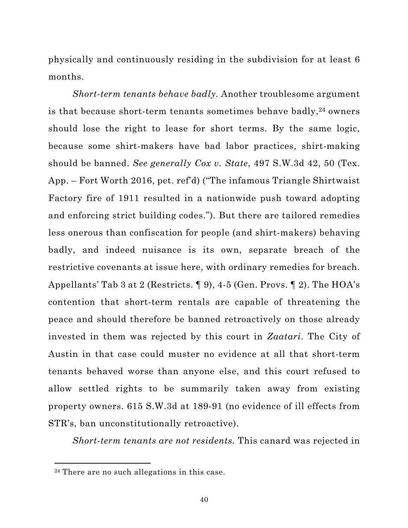<span id="page-48-0"></span>physically and continuously residing in the subdivision for at least 6 months.

*Short-term tenants behave badly.* Another troublesome argument is that because short-term tenants sometimes behave badly,<sup>24</sup> owners should lose the right to lease for short terms. By the same logic, because some shirt-makers have bad labor practices, shirt-making should be banned. *See generally Cox v. State*, 497 S.W.3d 42, 50 (Tex. App. – Fort Worth 2016, pet. ref'd) ("The infamous Triangle Shirtwaist Factory fire of 1911 resulted in a nationwide push toward adopting and enforcing strict building codes.")*.* But there are tailored remedies less onerous than confiscation for people (and shirt-makers) behaving badly, and indeed nuisance is its own, separate breach of the restrictive covenants at issue here, with ordinary remedies for breach. Appellants' Tab 3 at 2 (Restricts. ¶ 9), 4-5 (Gen. Provs. ¶ 2). The HOA's contention that short-term rentals are capable of threatening the peace and should therefore be banned retroactively on those already invested in them was rejected by this court in *Zaatari*. The City of Austin in that case could muster no evidence at all that short-term tenants behaved worse than anyone else, and this court refused to allow settled rights to be summarily taken away from existing property owners. 615 S.W.3d at 189-91 (no evidence of ill effects from STR's, ban unconstitutionally retroactive).

*Short-term tenants are not residents.* This canard was rejected in

<sup>24</sup> There are no such allegations in this case.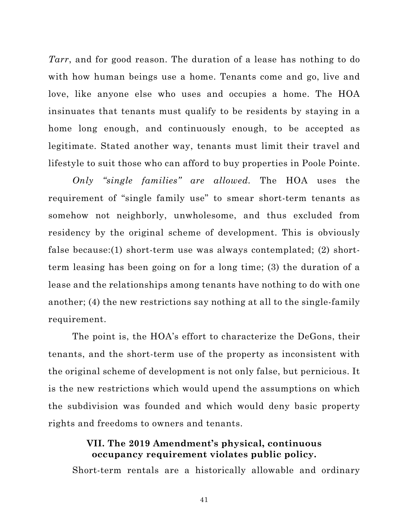<span id="page-49-0"></span>*Tarr*, and for good reason. The duration of a lease has nothing to do with how human beings use a home. Tenants come and go, live and love, like anyone else who uses and occupies a home. The HOA insinuates that tenants must qualify to be residents by staying in a home long enough, and continuously enough, to be accepted as legitimate. Stated another way, tenants must limit their travel and lifestyle to suit those who can afford to buy properties in Poole Pointe.

*Only "single families" are allowed.* The HOA uses the requirement of "single family use" to smear short-term tenants as somehow not neighborly, unwholesome, and thus excluded from residency by the original scheme of development. This is obviously false because:(1) short-term use was always contemplated; (2) shortterm leasing has been going on for a long time; (3) the duration of a lease and the relationships among tenants have nothing to do with one another; (4) the new restrictions say nothing at all to the single-family requirement.

The point is, the HOA's effort to characterize the DeGons, their tenants, and the short-term use of the property as inconsistent with the original scheme of development is not only false, but pernicious. It is the new restrictions which would upend the assumptions on which the subdivision was founded and which would deny basic property rights and freedoms to owners and tenants.

### **VII. The 2019 Amendment's physical, continuous occupancy requirement violates public policy.**

Short-term rentals are a historically allowable and ordinary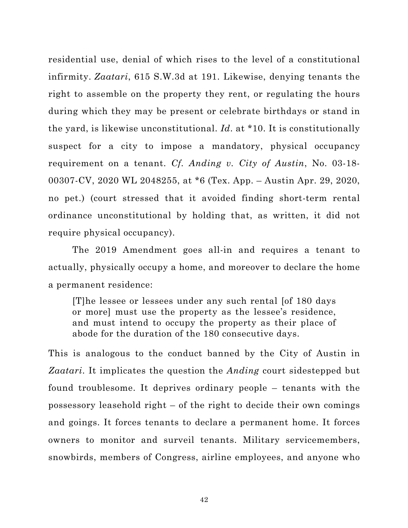<span id="page-50-0"></span>residential use, denial of which rises to the level of a constitutional infirmity. *Zaatari*, 615 S.W.3d at 191. Likewise, denying tenants the right to assemble on the property they rent, or regulating the hours during which they may be present or celebrate birthdays or stand in the yard, is likewise unconstitutional. *Id*. at \*10. It is constitutionally suspect for a city to impose a mandatory, physical occupancy requirement on a tenant. *Cf. Anding v. City of Austin*, No. 03-18- 00307-CV, 2020 WL 2048255, at \*6 (Tex. App. – Austin Apr. 29, 2020, no pet.) (court stressed that it avoided finding short-term rental ordinance unconstitutional by holding that, as written, it did not require physical occupancy).

The 2019 Amendment goes all-in and requires a tenant to actually, physically occupy a home, and moreover to declare the home a permanent residence:

[T]he lessee or lessees under any such rental [of 180 days or more] must use the property as the lessee's residence, and must intend to occupy the property as their place of abode for the duration of the 180 consecutive days.

This is analogous to the conduct banned by the City of Austin in *Zaatari*. It implicates the question the *Anding* court sidestepped but found troublesome. It deprives ordinary people – tenants with the possessory leasehold right – of the right to decide their own comings and goings. It forces tenants to declare a permanent home. It forces owners to monitor and surveil tenants. Military servicemembers, snowbirds, members of Congress, airline employees, and anyone who

42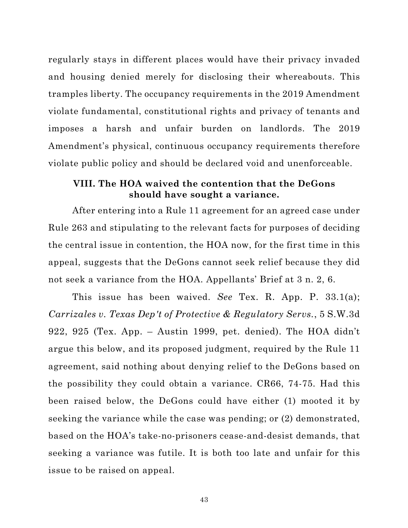<span id="page-51-0"></span>regularly stays in different places would have their privacy invaded and housing denied merely for disclosing their whereabouts. This tramples liberty. The occupancy requirements in the 2019 Amendment violate fundamental, constitutional rights and privacy of tenants and imposes a harsh and unfair burden on landlords. The 2019 Amendment's physical, continuous occupancy requirements therefore violate public policy and should be declared void and unenforceable.

#### **VIII. The HOA waived the contention that the DeGons should have sought a variance.**

After entering into a Rule 11 agreement for an agreed case under Rule 263 and stipulating to the relevant facts for purposes of deciding the central issue in contention, the HOA now, for the first time in this appeal, suggests that the DeGons cannot seek relief because they did not seek a variance from the HOA. Appellants' Brief at 3 n. 2, 6.

This issue has been waived. *See* Tex. R. App. P. 33.1(a); *Carrizales v. Texas Dep't of Protective & Regulatory Servs.*, 5 S.W.3d 922, 925 (Tex. App. – Austin 1999, pet. denied). The HOA didn't argue this below, and its proposed judgment, required by the Rule 11 agreement, said nothing about denying relief to the DeGons based on the possibility they could obtain a variance. CR66, 74-75. Had this been raised below, the DeGons could have either (1) mooted it by seeking the variance while the case was pending; or (2) demonstrated, based on the HOA's take-no-prisoners cease-and-desist demands, that seeking a variance was futile. It is both too late and unfair for this issue to be raised on appeal.

43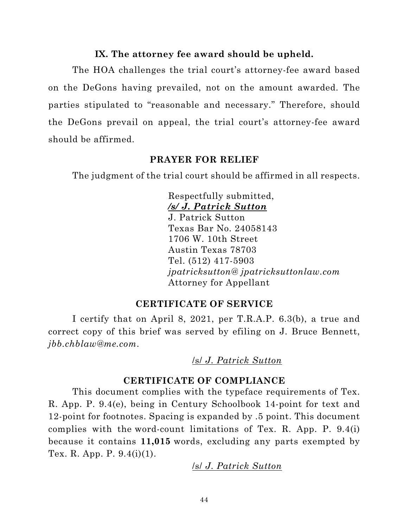#### **IX. The attorney fee award should be upheld.**

<span id="page-52-0"></span>The HOA challenges the trial court's attorney-fee award based on the DeGons having prevailed, not on the amount awarded. The parties stipulated to "reasonable and necessary." Therefore, should the DeGons prevail on appeal, the trial court's attorney-fee award should be affirmed.

#### **PRAYER FOR RELIEF**

The judgment of the trial court should be affirmed in all respects.

Respectfully submitted, */s/ J. Patrick Sutton* J. Patrick Sutton Texas Bar No. 24058143 1706 W. 10th Street Austin Texas 78703 Tel. (512) 417-5903 *jpatricksutton@ jpatricksuttonlaw.com* Attorney for Appellant

### **CERTIFICATE OF SERVICE**

I certify that on April 8, 2021, per T.R.A.P. 6.3(b), a true and correct copy of this brief was served by efiling on J. Bruce Bennett, *jbb.chblaw@me.com*.

/s/ *J. Patrick Sutton*

### **CERTIFICATE OF COMPLIANCE**

This document complies with the typeface requirements of Tex. R. App. P. 9.4(e), being in Century Schoolbook 14-point for text and 12-point for footnotes. Spacing is expanded by .5 point. This document complies with the word-count limitations of Tex. R. App. P. 9.4(i) because it contains **11,015** words, excluding any parts exempted by Tex. R. App. P. 9.4(i)(1).

/s/ *J. Patrick Sutton*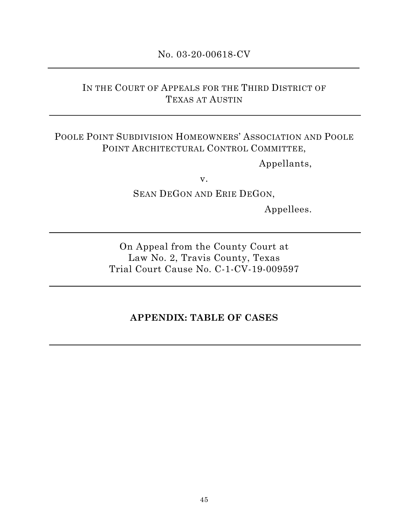## No. 03-20-00618-CV

# <span id="page-53-0"></span>IN THE COURT OF APPEALS FOR THE THIRD DISTRICT OF TEXAS AT AUSTIN

# POOLE POINT SUBDIVISION HOMEOWNERS' ASSOCIATION AND POOLE POINT ARCHITECTURAL CONTROL COMMITTEE,

Appellants,

v.

SEAN DEGON AND ERIE DEGON,

Appellees.

On Appeal from the County Court at Law No. 2, Travis County, Texas Trial Court Cause No. C-1-CV-19-009597

### **APPENDIX: TABLE OF CASES**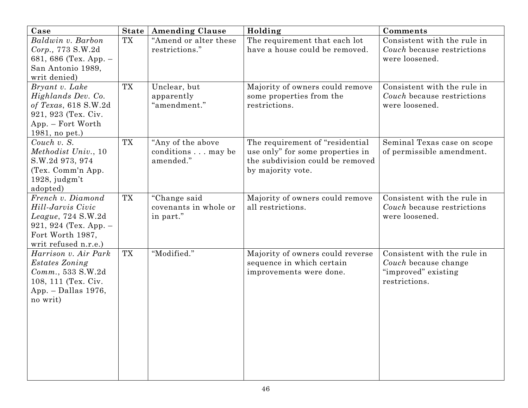| Case                                                                                                                                  |           | <b>State   Amending Clause</b>                      | Holding                                                                                                                      | Comments                                                                                    |
|---------------------------------------------------------------------------------------------------------------------------------------|-----------|-----------------------------------------------------|------------------------------------------------------------------------------------------------------------------------------|---------------------------------------------------------------------------------------------|
| Baldwin v. Barbon<br>Corp., 773 S.W.2d<br>681, 686 (Tex. App. -<br>San Antonio 1989,<br>writ denied)                                  | <b>TX</b> | "Amend or alter these<br>restrictions."             | The requirement that each lot<br>have a house could be removed.                                                              | Consistent with the rule in<br>Couch because restrictions<br>were loosened.                 |
| Bryant v. Lake<br>Highlands Dev. Co.<br>of Texas, 618 S.W.2d<br>921, 923 (Tex. Civ.<br>App. – Fort Worth<br>1981, no pet.)            | <b>TX</b> | Unclear, but<br>apparently<br>"amendment."          | Majority of owners could remove<br>some properties from the<br>restrictions.                                                 | Consistent with the rule in<br>Couch because restrictions<br>were loosened.                 |
| Couch v. S.<br>Methodist Univ., 10<br>S.W.2d 973, 974<br>(Tex. Comm'n App.<br>$1928$ , judgm't<br>adopted)                            | <b>TX</b> | "Any of the above<br>conditions may be<br>amended." | The requirement of "residential<br>use only" for some properties in<br>the subdivision could be removed<br>by majority vote. | Seminal Texas case on scope<br>of permissible amendment.                                    |
| French v. Diamond<br>Hill-Jarvis Civic<br>$League, 724$ S.W.2d<br>921, 924 (Tex. App. $-$<br>Fort Worth 1987,<br>writ refused n.r.e.) | <b>TX</b> | "Change said<br>covenants in whole or<br>in part."  | Majority of owners could remove<br>all restrictions.                                                                         | Consistent with the rule in<br>Couch because restrictions<br>were loosened.                 |
| Harrison v. Air Park<br>Estates Zoning<br>$Comm.$ , 533 $S.W.2d$<br>108, 111 (Tex. Civ.<br>App. - Dallas 1976,<br>no writ)            | <b>TX</b> | "Modified."                                         | Majority of owners could reverse<br>sequence in which certain<br>improvements were done.                                     | Consistent with the rule in<br>Couch because change<br>"improved" existing<br>restrictions. |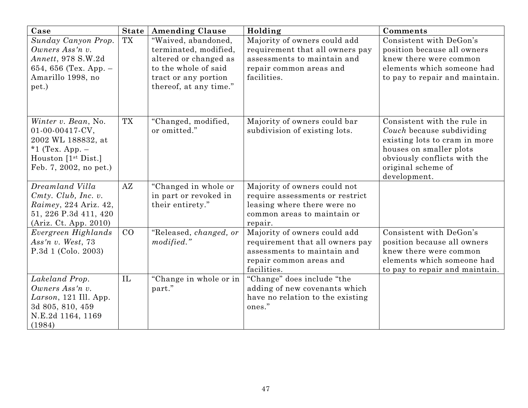| Case                                                                                                                                 |           | State   Amending Clause                                                                         | Holding                                                                                                                                  | Comments                                                                                                                                                                                   |
|--------------------------------------------------------------------------------------------------------------------------------------|-----------|-------------------------------------------------------------------------------------------------|------------------------------------------------------------------------------------------------------------------------------------------|--------------------------------------------------------------------------------------------------------------------------------------------------------------------------------------------|
| Sunday Canyon Prop.<br>Owners Ass'n v.                                                                                               | <b>TX</b> | "Waived, abandoned,<br>terminated, modified,                                                    | Majority of owners could add<br>requirement that all owners pay<br>assessments to maintain and                                           | Consistent with DeGon's<br>position because all owners<br>knew there were common                                                                                                           |
| Annett, 978 S.W.2d<br>654, 656 (Tex. App. $-$<br>Amarillo 1998, no<br>pet.)                                                          |           | altered or changed as<br>to the whole of said<br>tract or any portion<br>thereof, at any time." | repair common areas and<br>facilities.                                                                                                   | elements which someone had<br>to pay to repair and maintain.                                                                                                                               |
| Winter v. Bean, No.<br>01-00-00417-CV,<br>2002 WL 188832, at<br>*1 (Tex. App. $-$<br>Houston $[1st Dist.]$<br>Feb. 7, 2002, no pet.) | TX        | "Changed, modified,<br>or omitted."                                                             | Majority of owners could bar<br>subdivision of existing lots.                                                                            | Consistent with the rule in<br>Couch because subdividing<br>existing lots to cram in more<br>houses on smaller plots<br>obviously conflicts with the<br>original scheme of<br>development. |
| Dreamland Villa                                                                                                                      | AZ        | "Changed in whole or                                                                            | Majority of owners could not                                                                                                             |                                                                                                                                                                                            |
| $C$ mty. $Club$ , Inc. v.                                                                                                            |           | in part or revoked in                                                                           | require assessments or restrict                                                                                                          |                                                                                                                                                                                            |
| Raimey, 224 Ariz. 42,<br>51, 226 P.3d 411, 420                                                                                       |           | their entirety."                                                                                | leasing where there were no<br>common areas to maintain or                                                                               |                                                                                                                                                                                            |
| (Ariz. Ct. App. 2010)                                                                                                                |           |                                                                                                 | repair.                                                                                                                                  |                                                                                                                                                                                            |
| Evergreen Highlands<br>Ass'n v. West, $73$<br>P.3d 1 (Colo. 2003)                                                                    | CO        | "Released, changed, or<br>modified."                                                            | Majority of owners could add<br>requirement that all owners pay<br>assessments to maintain and<br>repair common areas and<br>facilities. | Consistent with DeGon's<br>position because all owners<br>knew there were common<br>elements which someone had<br>to pay to repair and maintain.                                           |
| Lakeland Prop.                                                                                                                       | IL        | "Change in whole or in                                                                          | "Change" does include "the                                                                                                               |                                                                                                                                                                                            |
| Owners Ass'n v.                                                                                                                      |           | part."                                                                                          | adding of new covenants which                                                                                                            |                                                                                                                                                                                            |
| Larson, 121 Ill. App.<br>3d 805, 810, 459                                                                                            |           |                                                                                                 | have no relation to the existing<br>ones."                                                                                               |                                                                                                                                                                                            |
| N.E.2d 1164, 1169                                                                                                                    |           |                                                                                                 |                                                                                                                                          |                                                                                                                                                                                            |
| (1984)                                                                                                                               |           |                                                                                                 |                                                                                                                                          |                                                                                                                                                                                            |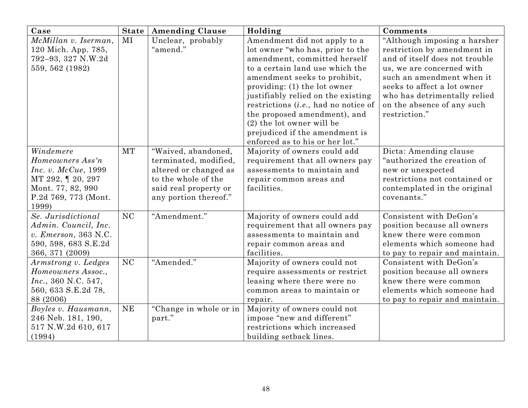| Case                                   |           | <b>State   Amending Clause</b> | Holding                                 | Comments                                                  |
|----------------------------------------|-----------|--------------------------------|-----------------------------------------|-----------------------------------------------------------|
| McMillan v. Iserman,                   | MI        | Unclear, probably              | Amendment did not apply to a            | "Although imposing a harsher                              |
| 120 Mich. App. 785,                    |           | "amend."                       | lot owner "who has, prior to the        | restriction by amendment in                               |
| 792-93, 327 N.W.2d                     |           |                                | amendment, committed herself            | and of itself does not trouble                            |
| 559, 562 (1982)                        |           |                                | to a certain land use which the         | us, we are concerned with                                 |
|                                        |           |                                | amendment seeks to prohibit,            | such an amendment when it                                 |
|                                        |           |                                | providing: (1) the lot owner            | seeks to affect a lot owner                               |
|                                        |           |                                | justifiably relied on the existing      | who has detrimentally relied                              |
|                                        |           |                                | restrictions $(i.e., had no notice of)$ | on the absence of any such                                |
|                                        |           |                                | the proposed amendment), and            | restriction."                                             |
|                                        |           |                                | (2) the lot owner will be               |                                                           |
|                                        |           |                                | prejudiced if the amendment is          |                                                           |
|                                        |           |                                | enforced as to his or her lot."         |                                                           |
| Windemere                              | <b>MT</b> | "Waived, abandoned,            | Majority of owners could add            | Dicta: Amending clause                                    |
| Homeowners Ass'n                       |           | terminated, modified,          | requirement that all owners pay         | "authorized the creation of                               |
| Inc. v. McCue, 1999                    |           | altered or changed as          | assessments to maintain and             | new or unexpected                                         |
| MT 292, 1 20, 297                      |           | to the whole of the            | repair common areas and                 | restrictions not contained or                             |
| Mont. 77, 82, 990                      |           | said real property or          | facilities.                             | contemplated in the original                              |
| P.2d 769, 773 (Mont.                   |           | any portion thereof."          |                                         | covenants."                                               |
| 1999)                                  |           |                                |                                         |                                                           |
| Se. Jurisdictional                     | <b>NC</b> | "Amendment."                   | Majority of owners could add            | Consistent with DeGon's                                   |
| Admin. Council, Inc.                   |           |                                | requirement that all owners pay         | position because all owners<br>knew there were common     |
| v. Emerson, 363 N.C.                   |           |                                | assessments to maintain and             | elements which someone had                                |
| 590, 598, 683 S.E.2d                   |           |                                | repair common areas and<br>facilities.  |                                                           |
| 366, 371 (2009)<br>Armstrong v. Ledges | NC        | "Amended."                     | Majority of owners could not            | to pay to repair and maintain.<br>Consistent with DeGon's |
| Homeowners Assoc.,                     |           |                                | require assessments or restrict         | position because all owners                               |
| Inc., 360 N.C. 547,                    |           |                                | leasing where there were no             | knew there were common                                    |
| 560, 633 S.E.2d 78,                    |           |                                | common areas to maintain or             | elements which someone had                                |
| 88 (2006)                              |           |                                | repair.                                 | to pay to repair and maintain.                            |
| Boyles v. Hausmann,                    | <b>NE</b> | "Change in whole or in         | Majority of owners could not            |                                                           |
| 246 Neb. 181, 190,                     |           | part."                         | impose "new and different"              |                                                           |
| 517 N.W.2d 610, 617                    |           |                                | restrictions which increased            |                                                           |
| (1994)                                 |           |                                | building setback lines.                 |                                                           |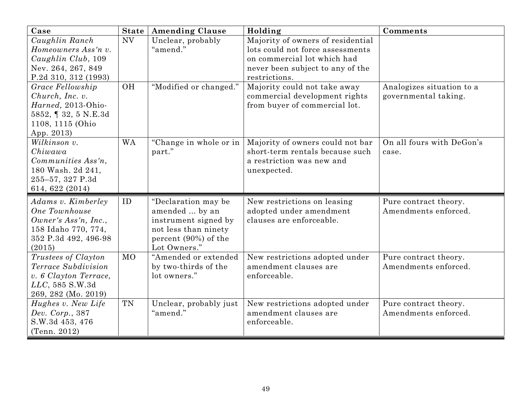| Case                    |           | <b>State   Amending Clause</b> | Holding                           | Comments                  |
|-------------------------|-----------|--------------------------------|-----------------------------------|---------------------------|
| Caughlin Ranch          | <b>NV</b> | Unclear, probably              | Majority of owners of residential |                           |
| Homeowners Ass'n v.     |           | "amend."                       | lots could not force assessments  |                           |
| $Caughlin$ $Club$ , 109 |           |                                | on commercial lot which had       |                           |
| Nev. 264, 267, 849      |           |                                | never been subject to any of the  |                           |
| P.2d 310, 312 (1993)    |           |                                | restrictions.                     |                           |
| Grace Fellowship        | <b>OH</b> | "Modified or changed."         | Majority could not take away      | Analogizes situation to a |
| Church, Inc. v.         |           |                                | commercial development rights     | governmental taking.      |
| Harned, 2013-Ohio-      |           |                                | from buyer of commercial lot.     |                           |
| 5852, 1 32, 5 N.E.3d    |           |                                |                                   |                           |
| 1108, 1115 (Ohio        |           |                                |                                   |                           |
| App. 2013)              |           |                                |                                   |                           |
| Wilkinson v.            | <b>WA</b> | "Change in whole or in         | Majority of owners could not bar  | On all fours with DeGon's |
| Chiwawa                 |           | part."                         | short-term rentals because such   | case.                     |
| Communities Ass'n,      |           |                                | a restriction was new and         |                           |
| 180 Wash. 2d 241,       |           |                                | unexpected.                       |                           |
| 255-57, 327 P.3d        |           |                                |                                   |                           |
| 614, 622 (2014)         |           |                                |                                   |                           |
| Adams v. Kimberley      | ID        | "Declaration may be            | New restrictions on leasing       | Pure contract theory.     |
| One Townhouse           |           | amended  by an                 | adopted under amendment           | Amendments enforced.      |
| Owner's Ass'n, Inc.,    |           | instrument signed by           | clauses are enforceable.          |                           |
| 158 Idaho 770, 774,     |           | not less than ninety           |                                   |                           |
| 352 P.3d 492, 496-98    |           | percent (90%) of the           |                                   |                           |
| (2015)                  |           | Lot Owners."                   |                                   |                           |
| Trustees of Clayton     | <b>MO</b> | "Amended or extended           | New restrictions adopted under    | Pure contract theory.     |
| Terrace Subdivision     |           | by two-thirds of the           | amendment clauses are             | Amendments enforced.      |
| v. 6 Clayton Terrace,   |           | lot owners."                   | enforceable.                      |                           |
| LLC, 585 S.W.3d         |           |                                |                                   |                           |
| 269, 282 (Mo. 2019)     |           |                                |                                   |                           |
| Hughes v. New Life      | TN        | Unclear, probably just         | New restrictions adopted under    | Pure contract theory.     |
| Dev. Corp., 387         |           | "amend."                       | amendment clauses are             | Amendments enforced.      |
| S.W.3d 453, 476         |           |                                | enforceable.                      |                           |
| (Tenn. 2012)            |           |                                |                                   |                           |